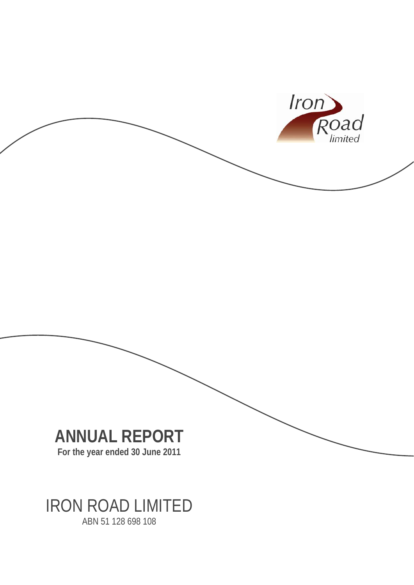

# **ANNUAL REPORT**

 **For the year ended 30 June 2011** 

# IRON ROAD LIMITED ABN 51 128 698 108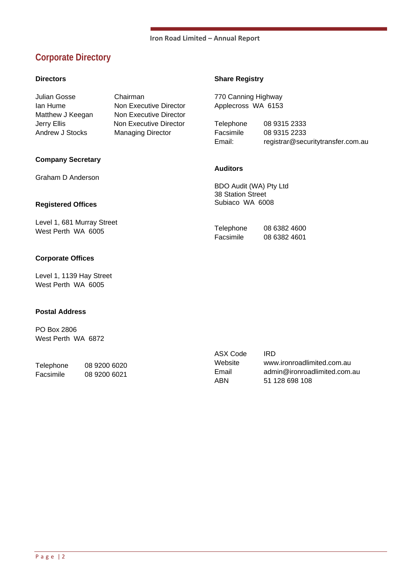## **Corporate Directory**

## **Directors**

Julian Gosse Chairman Ian Hume Non Executive Director

Matthew J Keegan Non Executive Director Jerry Ellis Non Executive Director Andrew J Stocks Managing Director

## **Company Secretary**

Graham D Anderson

## **Share Registry**

770 Canning Highway Applecross WA 6153

Telephone 08 9315 2333 Facsimile 08 9315 2233 Email: registrar@securitytransfer.com.au

## **Auditors**

BDO Audit (WA) Pty Ltd 38 Station Street Subiaco WA 6008

Telephone 08 6382 4600 Facsimile 08 6382 4601

## **Registered Offices**

Level 1, 681 Murray Street West Perth WA 6005

## **Corporate Offices**

Level 1, 1139 Hay Street West Perth WA 6005

## **Postal Address**

PO Box 2806 West Perth WA 6872

|                  |              | ASX Code | IRD                          |
|------------------|--------------|----------|------------------------------|
| <b>Telephone</b> | 08 9200 6020 | Website  | www.ironroadlimited.com.au   |
| Facsimile        | 08 9200 6021 | Email    | admin@ironroadlimited.com.au |
|                  |              | ABN      | 51 128 698 108               |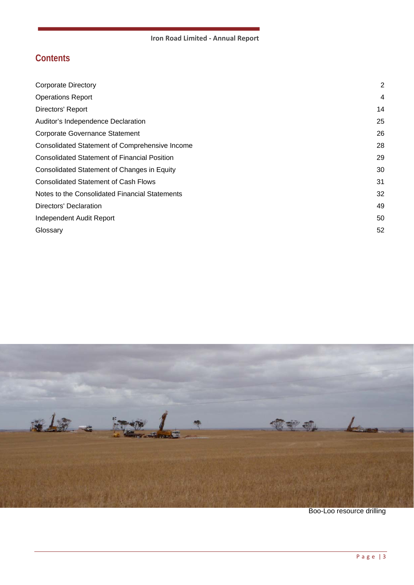## **Contents**

| <b>Corporate Directory</b>                            | 2  |
|-------------------------------------------------------|----|
| <b>Operations Report</b>                              | 4  |
| Directors' Report                                     | 14 |
| Auditor's Independence Declaration                    | 25 |
| Corporate Governance Statement                        | 26 |
| <b>Consolidated Statement of Comprehensive Income</b> | 28 |
| <b>Consolidated Statement of Financial Position</b>   | 29 |
| Consolidated Statement of Changes in Equity           | 30 |
| <b>Consolidated Statement of Cash Flows</b>           | 31 |
| Notes to the Consolidated Financial Statements        | 32 |
| Directors' Declaration                                | 49 |
| Independent Audit Report                              | 50 |
| Glossary                                              | 52 |



Boo-Loo resource drilling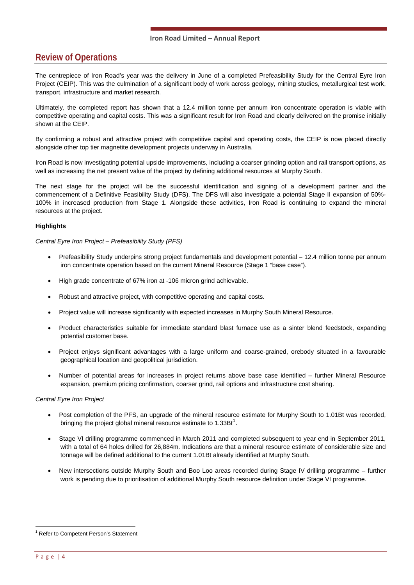## **Review of Operations**

The centrepiece of Iron Road's year was the delivery in June of a completed Prefeasibility Study for the Central Eyre Iron Project (CEIP). This was the culmination of a significant body of work across geology, mining studies, metallurgical test work, transport, infrastructure and market research.

Ultimately, the completed report has shown that a 12.4 million tonne per annum iron concentrate operation is viable with competitive operating and capital costs. This was a significant result for Iron Road and clearly delivered on the promise initially shown at the CEIP.

By confirming a robust and attractive project with competitive capital and operating costs, the CEIP is now placed directly alongside other top tier magnetite development projects underway in Australia.

Iron Road is now investigating potential upside improvements, including a coarser grinding option and rail transport options, as well as increasing the net present value of the project by defining additional resources at Murphy South.

The next stage for the project will be the successful identification and signing of a development partner and the commencement of a Definitive Feasibility Study (DFS). The DFS will also investigate a potential Stage II expansion of 50%- 100% in increased production from Stage 1. Alongside these activities, Iron Road is continuing to expand the mineral resources at the project.

## **Highlights**

*Central Eyre Iron Project – Prefeasibility Study (PFS)* 

- Prefeasibility Study underpins strong project fundamentals and development potential 12.4 million tonne per annum iron concentrate operation based on the current Mineral Resource (Stage 1 "base case").
- High grade concentrate of 67% iron at -106 micron grind achievable.
- Robust and attractive project, with competitive operating and capital costs.
- Project value will increase significantly with expected increases in Murphy South Mineral Resource.
- Product characteristics suitable for immediate standard blast furnace use as a sinter blend feedstock, expanding potential customer base.
- Project enjoys significant advantages with a large uniform and coarse-grained, orebody situated in a favourable geographical location and geopolitical jurisdiction.
- Number of potential areas for increases in project returns above base case identified further Mineral Resource expansion, premium pricing confirmation, coarser grind, rail options and infrastructure cost sharing.

## *Central Eyre Iron Project*

- Post completion of the PFS, an upgrade of the mineral resource estimate for Murphy South to 1.01Bt was recorded, bringing the project global mineral resource estimate to [1](#page-3-0).33Bt<sup>1</sup>.
- Stage VI drilling programme commenced in March 2011 and completed subsequent to year end in September 2011, with a total of 64 holes drilled for 26,884m. Indications are that a mineral resource estimate of considerable size and tonnage will be defined additional to the current 1.01Bt already identified at Murphy South.
- New intersections outside Murphy South and Boo Loo areas recorded during Stage IV drilling programme further work is pending due to prioritisation of additional Murphy South resource definition under Stage VI programme.

<span id="page-3-0"></span><sup>1</sup> <sup>1</sup> Refer to Competent Person's Statement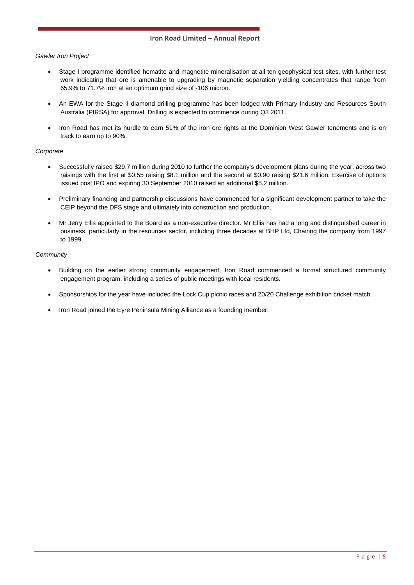## *Gawler Iron Project*

- Stage I programme identified hematite and magnetite mineralisation at all ten geophysical test sites, with further test work indicating that ore is amenable to upgrading by magnetic separation yielding concentrates that range from 65.9% to 71.7% iron at an optimum grind size of -106 micron.
- An EWA for the Stage II diamond drilling programme has been lodged with Primary Industry and Resources South Australia (PIRSA) for approval. Drilling is expected to commence during Q3 2011.
- Iron Road has met its hurdle to earn 51% of the iron ore rights at the Dominion West Gawler tenements and is on track to earn up to 90%.

## *Corporate*

- Successfully raised \$29.7 million during 2010 to further the company's development plans during the year, across two raisings with the first at \$0.55 raising \$8.1 million and the second at \$0.90 raising \$21.6 million. Exercise of options issued post IPO and expiring 30 September 2010 raised an additional \$5.2 million.
- Preliminary financing and partnership discussions have commenced for a significant development partner to take the CEIP beyond the DFS stage and ultimately into construction and production.
- Mr Jerry Ellis appointed to the Board as a non-executive director. Mr Ellis has had a long and distinguished career in business, particularly in the resources sector, including three decades at BHP Ltd, Chairing the company from 1997 to 1999.

## *Community*

- Building on the earlier strong community engagement, Iron Road commenced a formal structured community engagement program, including a series of public meetings with local residents.
- Sponsorships for the year have included the Lock Cup picnic races and 20/20 Challenge exhibition cricket match.
- Iron Road joined the Eyre Peninsula Mining Alliance as a founding member.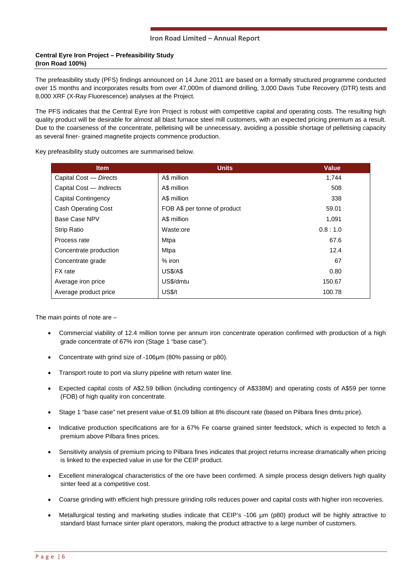## **Central Eyre Iron Project – Prefeasibility Study (Iron Road 100%)**

The prefeasibility study (PFS) findings announced on 14 June 2011 are based on a formally structured programme conducted over 15 months and incorporates results from over 47,000m of diamond drilling, 3,000 Davis Tube Recovery (DTR) tests and 8,000 XRF (X-Ray Fluorescence) analyses at the Project.

The PFS indicates that the Central Eyre Iron Project is robust with competitive capital and operating costs. The resulting high quality product will be desirable for almost all blast furnace steel mill customers, with an expected pricing premium as a result. Due to the coarseness of the concentrate, pelletising will be unnecessary, avoiding a possible shortage of pelletising capacity as several finer- grained magnetite projects commence production.

Key prefeasibility study outcomes are summarised below.

| <b>Item</b>                | <b>Units</b>                 | <b>Value</b> |
|----------------------------|------------------------------|--------------|
| Capital Cost - Directs     | A\$ million                  | 1,744        |
| Capital Cost - Indirects   | A\$ million                  | 508          |
| Capital Contingency        | A\$ million                  | 338          |
| <b>Cash Operating Cost</b> | FOB A\$ per tonne of product | 59.01        |
| Base Case NPV              | A\$ million                  | 1,091        |
| <b>Strip Ratio</b>         | Waste:ore                    | 0.8:1.0      |
| Process rate               | Mtpa                         | 67.6         |
| Concentrate production     | Mtpa                         | 12.4         |
| Concentrate grade          | $%$ iron                     | 67           |
| FX rate                    | <b>US\$/A\$</b>              | 0.80         |
| Average iron price         | US\$/dmtu                    | 150.67       |
| Average product price      | US\$/t                       | 100.78       |

The main points of note are –

- Commercial viability of 12.4 million tonne per annum iron concentrate operation confirmed with production of a high grade concentrate of 67% iron (Stage 1 "base case").
- Concentrate with grind size of -106µm (80% passing or p80).
- Transport route to port via slurry pipeline with return water line.
- Expected capital costs of A\$2.59 billion (including contingency of A\$338M) and operating costs of A\$59 per tonne (FOB) of high quality iron concentrate.
- Stage 1 "base case" net present value of \$1.09 billion at 8% discount rate (based on Pilbara fines dmtu price).
- Indicative production specifications are for a 67% Fe coarse grained sinter feedstock, which is expected to fetch a premium above Pilbara fines prices.
- Sensitivity analysis of premium pricing to Pilbara fines indicates that project returns increase dramatically when pricing is linked to the expected value in use for the CEIP product.
- Excellent mineralogical characteristics of the ore have been confirmed. A simple process design delivers high quality sinter feed at a competitive cost.
- Coarse grinding with efficient high pressure grinding rolls reduces power and capital costs with higher iron recoveries.
- Metallurgical testing and marketing studies indicate that CEIP's -106 µm (p80) product will be highly attractive to standard blast furnace sinter plant operators, making the product attractive to a large number of customers.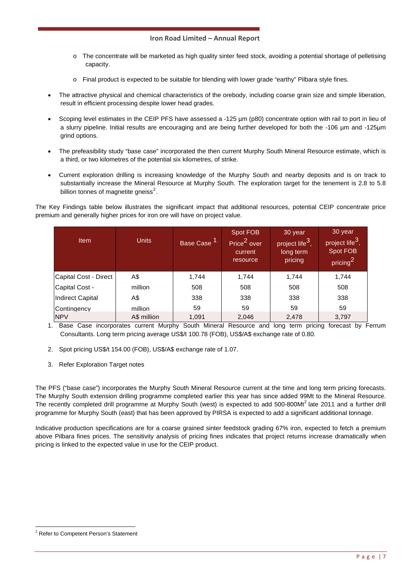- o The concentrate will be marketed as high quality sinter feed stock, avoiding a potential shortage of pelletising capacity.
- o Final product is expected to be suitable for blending with lower grade "earthy" Pilbara style fines.
- The attractive physical and chemical characteristics of the orebody, including coarse grain size and simple liberation, result in efficient processing despite lower head grades.
- Scoping level estimates in the CEIP PFS have assessed a -125 um (p80) concentrate option with rail to port in lieu of a slurry pipeline. Initial results are encouraging and are being further developed for both the -106 µm and -125µm grind options.
- The prefeasibility study "base case" incorporated the then current Murphy South Mineral Resource estimate, which is a third, or two kilometres of the potential six kilometres, of strike.
- Current exploration drilling is increasing knowledge of the Murphy South and nearby deposits and is on track to substantially increase the Mineral Resource at Murphy South. The exploration target for the tenement is 2.8 to 5.8 billion tonnes of magnetite gneiss $2$ .

The Key Findings table below illustrates the significant impact that additional resources, potential CEIP concentrate price premium and generally higher prices for iron ore will have on project value.

| <b>Item</b>             | <b>Units</b> | <b>Base Case</b> | Spot FOB<br>Price <sup>2</sup> over<br>current<br>resource | 30 year<br>project life <sup>3</sup> .<br>long term<br>pricing | 30 year<br>project life <sup>3</sup> ,<br>Spot FOB<br>pricing <sup>2</sup> |
|-------------------------|--------------|------------------|------------------------------------------------------------|----------------------------------------------------------------|----------------------------------------------------------------------------|
| Capital Cost - Direct   | A\$          | 1,744            | 1,744                                                      | 1,744                                                          | 1,744                                                                      |
| Capital Cost -          | million      | 508              | 508                                                        | 508                                                            | 508                                                                        |
| <b>Indirect Capital</b> | A\$          | 338              | 338                                                        | 338                                                            | 338                                                                        |
| Contingency             | million      | 59               | 59                                                         | 59                                                             | 59                                                                         |
| <b>NPV</b>              | A\$ million  | 1,091            | 2,046                                                      | 2,478                                                          | 3,797                                                                      |

- 1. Base Case incorporates current Murphy South Mineral Resource and long term pricing forecast by Ferrum Consultants. Long term pricing average US\$/t 100.78 (FOB), US\$/A\$ exchange rate of 0.80.
- 2. Spot pricing US\$/t 154.00 (FOB), US\$/A\$ exchange rate of 1.07.
- 3. Refer Exploration Target notes

The PFS ("base case") incorporates the Murphy South Mineral Resource current at the time and long term pricing forecasts. The Murphy South extension drilling programme completed earlier this year has since added 99Mt to the Mineral Resource. The recently completed drill programme at Murphy South (west) is expected to add 500-800Mt<sup>2</sup> late 2011 and a further drill programme for Murphy South (east) that has been approved by PIRSA is expected to add a significant additional tonnage.

Indicative production specifications are for a coarse grained sinter feedstock grading 67% iron, expected to fetch a premium above Pilbara fines prices. The sensitivity analysis of pricing fines indicates that project returns increase dramatically when pricing is linked to the expected value in use for the CEIP product.

<span id="page-6-0"></span><sup>1</sup> <sup>2</sup> Refer to Competent Person's Statement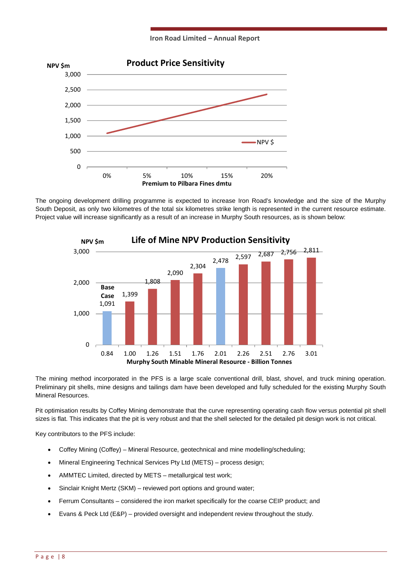**Iron Road Limited – Annual Report**



The ongoing development drilling programme is expected to increase Iron Road's knowledge and the size of the Murphy South Deposit, as only two kilometres of the total six kilometres strike length is represented in the current resource estimate. Project value will increase significantly as a result of an increase in Murphy South resources, as is shown below:



The mining method incorporated in the PFS is a large scale conventional drill, blast, shovel, and truck mining operation. Preliminary pit shells, mine designs and tailings dam have been developed and fully scheduled for the existing Murphy South Mineral Resources.

Pit optimisation results by Coffey Mining demonstrate that the curve representing operating cash flow versus potential pit shell sizes is flat. This indicates that the pit is very robust and that the shell selected for the detailed pit design work is not critical.

Key contributors to the PFS include:

- Coffey Mining (Coffey) Mineral Resource, geotechnical and mine modelling/scheduling;
- Mineral Engineering Technical Services Pty Ltd (METS) process design;
- AMMTEC Limited, directed by METS metallurgical test work;
- Sinclair Knight Mertz (SKM) reviewed port options and ground water;
- Ferrum Consultants considered the iron market specifically for the coarse CEIP product; and
- Evans & Peck Ltd (E&P) provided oversight and independent review throughout the study.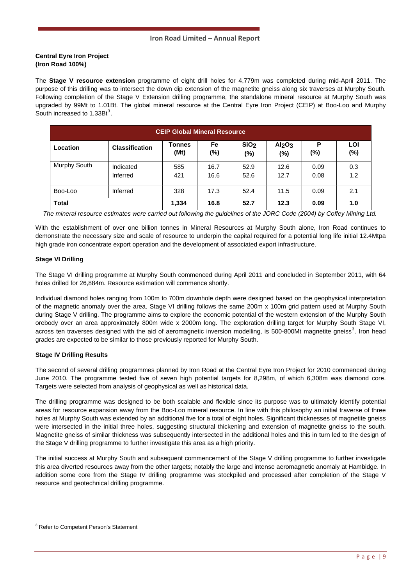## **Central Eyre Iron Project (Iron Road 100%)**

The **Stage V resource extension** programme of eight drill holes for 4,779m was completed during mid-April 2011. The purpose of this drilling was to intersect the down dip extension of the magnetite gneiss along six traverses at Murphy South. Following completion of the Stage V Extension drilling programme, the standalone mineral resource at Murphy South was upgraded by 99Mt to 1.01Bt. The global mineral resource at the Central Eyre Iron Project (CEIP) at Boo-Loo and Murphy South increased to  $1.33Bt<sup>3</sup>$  $1.33Bt<sup>3</sup>$  $1.33Bt<sup>3</sup>$ .

| <b>CEIP Global Mineral Resource</b> |                       |                       |              |                            |                                          |              |               |
|-------------------------------------|-----------------------|-----------------------|--------------|----------------------------|------------------------------------------|--------------|---------------|
| Location                            | <b>Classification</b> | <b>Tonnes</b><br>(Mt) | Fe<br>(%)    | SiO <sub>2</sub><br>$(\%)$ | Al <sub>2</sub> O <sub>3</sub><br>$(\%)$ | P<br>(%)     | LOI<br>$(\%)$ |
| Murphy South                        | Indicated<br>Inferred | 585<br>421            | 16.7<br>16.6 | 52.9<br>52.6               | 12.6<br>12.7                             | 0.09<br>0.08 | 0.3<br>1.2    |
| Boo-Loo                             | Inferred              | 328                   | 17.3         | 52.4                       | 11.5                                     | 0.09         | 2.1           |
| <b>Total</b>                        |                       | 1,334                 | 16.8         | 52.7                       | 12.3                                     | 0.09         | 1.0           |

*The mineral resource estimates were carried out following the guidelines of the JORC Code (2004) by Coffey Mining Ltd.*

With the establishment of over one billion tonnes in Mineral Resources at Murphy South alone, Iron Road continues to demonstrate the necessary size and scale of resource to underpin the capital required for a potential long life initial 12.4Mtpa high grade iron concentrate export operation and the development of associated export infrastructure.

## **Stage VI Drilling**

The Stage VI drilling programme at Murphy South commenced during April 2011 and concluded in September 2011, with 64 holes drilled for 26,884m. Resource estimation will commence shortly.

Individual diamond holes ranging from 100m to 700m downhole depth were designed based on the geophysical interpretation of the magnetic anomaly over the area. Stage VI drilling follows the same 200m x 100m grid pattern used at Murphy South during Stage V drilling. The programme aims to explore the economic potential of the western extension of the Murphy South orebody over an area approximately 800m wide x 2000m long. The exploration drilling target for Murphy South Stage VI, across ten traverses designed with the aid of aeromagnetic inversion modelling, is 500-800Mt magnetite gneiss<sup>[3](#page-8-1)</sup>. Iron head grades are expected to be similar to those previously reported for Murphy South.

## **Stage IV Drilling Results**

The second of several drilling programmes planned by Iron Road at the Central Eyre Iron Project for 2010 commenced during June 2010. The programme tested five of seven high potential targets for 8,298m, of which 6,308m was diamond core. Targets were selected from analysis of geophysical as well as historical data.

The drilling programme was designed to be both scalable and flexible since its purpose was to ultimately identify potential areas for resource expansion away from the Boo-Loo mineral resource. In line with this philosophy an initial traverse of three holes at Murphy South was extended by an additional five for a total of eight holes. Significant thicknesses of magnetite gneiss were intersected in the initial three holes, suggesting structural thickening and extension of magnetite gneiss to the south. Magnetite gneiss of similar thickness was subsequently intersected in the additional holes and this in turn led to the design of the Stage V drilling programme to further investigate this area as a high priority.

The initial success at Murphy South and subsequent commencement of the Stage V drilling programme to further investigate this area diverted resources away from the other targets; notably the large and intense aeromagnetic anomaly at Hambidge. In addition some core from the Stage IV drilling programme was stockpiled and processed after completion of the Stage V resource and geotechnical drilling programme.

1

<span id="page-8-1"></span><span id="page-8-0"></span><sup>&</sup>lt;sup>3</sup> Refer to Competent Person's Statement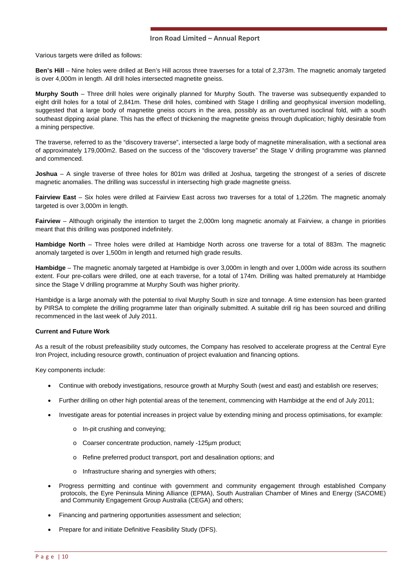Various targets were drilled as follows:

**Ben's Hill** – Nine holes were drilled at Ben's Hill across three traverses for a total of 2,373m. The magnetic anomaly targeted is over 4,000m in length. All drill holes intersected magnetite gneiss.

**Murphy South** – Three drill holes were originally planned for Murphy South. The traverse was subsequently expanded to eight drill holes for a total of 2,841m. These drill holes, combined with Stage I drilling and geophysical inversion modelling, suggested that a large body of magnetite gneiss occurs in the area, possibly as an overturned isoclinal fold, with a south southeast dipping axial plane. This has the effect of thickening the magnetite gneiss through duplication; highly desirable from a mining perspective.

The traverse, referred to as the "discovery traverse", intersected a large body of magnetite mineralisation, with a sectional area of approximately 179,000m2. Based on the success of the "discovery traverse" the Stage V drilling programme was planned and commenced.

**Joshua** – A single traverse of three holes for 801m was drilled at Joshua, targeting the strongest of a series of discrete magnetic anomalies. The drilling was successful in intersecting high grade magnetite gneiss.

**Fairview East** – Six holes were drilled at Fairview East across two traverses for a total of 1,226m. The magnetic anomaly targeted is over 3,000m in length.

**Fairview** – Although originally the intention to target the 2,000m long magnetic anomaly at Fairview, a change in priorities meant that this drilling was postponed indefinitely.

**Hambidge North** – Three holes were drilled at Hambidge North across one traverse for a total of 883m. The magnetic anomaly targeted is over 1,500m in length and returned high grade results.

**Hambidge** – The magnetic anomaly targeted at Hambidge is over 3,000m in length and over 1,000m wide across its southern extent. Four pre-collars were drilled, one at each traverse, for a total of 174m. Drilling was halted prematurely at Hambidge since the Stage V drilling programme at Murphy South was higher priority.

Hambidge is a large anomaly with the potential to rival Murphy South in size and tonnage. A time extension has been granted by PIRSA to complete the drilling programme later than originally submitted. A suitable drill rig has been sourced and drilling recommenced in the last week of July 2011.

#### **Current and Future Work**

As a result of the robust prefeasibility study outcomes, the Company has resolved to accelerate progress at the Central Eyre Iron Project, including resource growth, continuation of project evaluation and financing options.

Key components include:

- Continue with orebody investigations, resource growth at Murphy South (west and east) and establish ore reserves;
- Further drilling on other high potential areas of the tenement, commencing with Hambidge at the end of July 2011;
- Investigate areas for potential increases in project value by extending mining and process optimisations, for example:
	- o In-pit crushing and conveying;
	- o Coarser concentrate production, namely -125µm product;
	- o Refine preferred product transport, port and desalination options; and
	- o Infrastructure sharing and synergies with others;
- Progress permitting and continue with government and community engagement through established Company protocols, the Eyre Peninsula Mining Alliance (EPMA), South Australian Chamber of Mines and Energy (SACOME) and Community Engagement Group Australia (CEGA) and others;
- Financing and partnering opportunities assessment and selection;
- Prepare for and initiate Definitive Feasibility Study (DFS).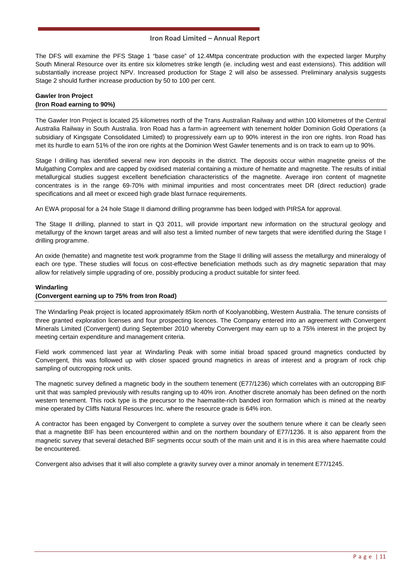The DFS will examine the PFS Stage 1 "base case" of 12.4Mtpa concentrate production with the expected larger Murphy South Mineral Resource over its entire six kilometres strike length (ie. including west and east extensions). This addition will substantially increase project NPV. Increased production for Stage 2 will also be assessed. Preliminary analysis suggests Stage 2 should further increase production by 50 to 100 per cent.

## **Gawler Iron Project (Iron Road earning to 90%)**

The Gawler Iron Project is located 25 kilometres north of the Trans Australian Railway and within 100 kilometres of the Central Australia Railway in South Australia. Iron Road has a farm-in agreement with tenement holder Dominion Gold Operations (a subsidiary of Kingsgate Consolidated Limited) to progressively earn up to 90% interest in the iron ore rights. Iron Road has met its hurdle to earn 51% of the iron ore rights at the Dominion West Gawler tenements and is on track to earn up to 90%.

Stage I drilling has identified several new iron deposits in the district. The deposits occur within magnetite gneiss of the Mulgathing Complex and are capped by oxidised material containing a mixture of hematite and magnetite. The results of initial metallurgical studies suggest excellent beneficiation characteristics of the magnetite. Average iron content of magnetite concentrates is in the range 69-70% with minimal impurities and most concentrates meet DR (direct reduction) grade specifications and all meet or exceed high grade blast furnace requirements.

An EWA proposal for a 24 hole Stage II diamond drilling programme has been lodged with PIRSA for approval.

The Stage II drilling, planned to start in Q3 2011, will provide important new information on the structural geology and metallurgy of the known target areas and will also test a limited number of new targets that were identified during the Stage I drilling programme.

An oxide (hematite) and magnetite test work programme from the Stage II drilling will assess the metallurgy and mineralogy of each ore type. These studies will focus on cost-effective beneficiation methods such as dry magnetic separation that may allow for relatively simple upgrading of ore, possibly producing a product suitable for sinter feed.

## **Windarling**

## **(Convergent earning up to 75% from Iron Road)**

The Windarling Peak project is located approximately 85km north of Koolyanobbing, Western Australia. The tenure consists of three granted exploration licenses and four prospecting licences. The Company entered into an agreement with Convergent Minerals Limited (Convergent) during September 2010 whereby Convergent may earn up to a 75% interest in the project by meeting certain expenditure and management criteria.

Field work commenced last year at Windarling Peak with some initial broad spaced ground magnetics conducted by Convergent, this was followed up with closer spaced ground magnetics in areas of interest and a program of rock chip sampling of outcropping rock units.

The magnetic survey defined a magnetic body in the southern tenement (E77/1236) which correlates with an outcropping BIF unit that was sampled previously with results ranging up to 40% iron. Another discrete anomaly has been defined on the north western tenement. This rock type is the precursor to the haematite-rich banded iron formation which is mined at the nearby mine operated by Cliffs Natural Resources Inc. where the resource grade is 64% iron.

A contractor has been engaged by Convergent to complete a survey over the southern tenure where it can be clearly seen that a magnetite BIF has been encountered within and on the northern boundary of E77/1236. It is also apparent from the magnetic survey that several detached BIF segments occur south of the main unit and it is in this area where haematite could be encountered.

Convergent also advises that it will also complete a gravity survey over a minor anomaly in tenement E77/1245.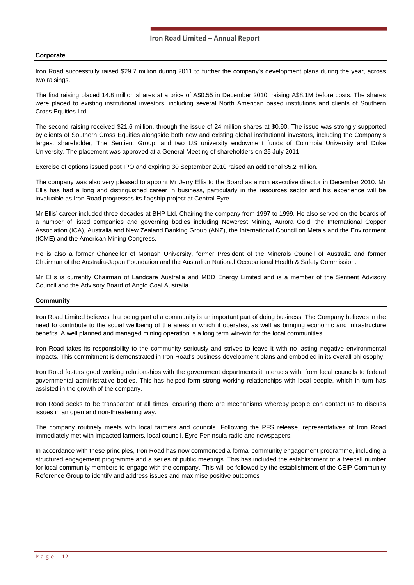#### **Corporate**

Iron Road successfully raised \$29.7 million during 2011 to further the company's development plans during the year, across two raisings.

The first raising placed 14.8 million shares at a price of A\$0.55 in December 2010, raising A\$8.1M before costs. The shares were placed to existing institutional investors, including several North American based institutions and clients of Southern Cross Equities Ltd.

The second raising received \$21.6 million, through the issue of 24 million shares at \$0.90. The issue was strongly supported by clients of Southern Cross Equities alongside both new and existing global institutional investors, including the Company's largest shareholder, The Sentient Group, and two US university endowment funds of Columbia University and Duke University. The placement was approved at a General Meeting of shareholders on 25 July 2011.

Exercise of options issued post IPO and expiring 30 September 2010 raised an additional \$5.2 million.

The company was also very pleased to appoint Mr Jerry Ellis to the Board as a non executive director in December 2010. Mr Ellis has had a long and distinguished career in business, particularly in the resources sector and his experience will be invaluable as Iron Road progresses its flagship project at Central Eyre.

Mr Ellis' career included three decades at BHP Ltd, Chairing the company from 1997 to 1999. He also served on the boards of a number of listed companies and governing bodies including Newcrest Mining, Aurora Gold, the International Copper Association (ICA), Australia and New Zealand Banking Group (ANZ), the International Council on Metals and the Environment (ICME) and the American Mining Congress.

He is also a former Chancellor of Monash University, former President of the Minerals Council of Australia and former Chairman of the Australia-Japan Foundation and the Australian National Occupational Health & Safety Commission.

Mr Ellis is currently Chairman of Landcare Australia and MBD Energy Limited and is a member of the Sentient Advisory Council and the Advisory Board of Anglo Coal Australia.

#### **Community**

Iron Road Limited believes that being part of a community is an important part of doing business. The Company believes in the need to contribute to the social wellbeing of the areas in which it operates, as well as bringing economic and infrastructure benefits. A well planned and managed mining operation is a long term win-win for the local communities.

Iron Road takes its responsibility to the community seriously and strives to leave it with no lasting negative environmental impacts. This commitment is demonstrated in Iron Road's business development plans and embodied in its overall philosophy.

Iron Road fosters good working relationships with the government departments it interacts with, from local councils to federal governmental administrative bodies. This has helped form strong working relationships with local people, which in turn has assisted in the growth of the company.

Iron Road seeks to be transparent at all times, ensuring there are mechanisms whereby people can contact us to discuss issues in an open and non-threatening way.

The company routinely meets with local farmers and councils. Following the PFS release, representatives of Iron Road immediately met with impacted farmers, local council, Eyre Peninsula radio and newspapers.

In accordance with these principles, Iron Road has now commenced a formal community engagement programme, including a structured engagement programme and a series of public meetings. This has included the establishment of a freecall number for local community members to engage with the company. This will be followed by the establishment of the CEIP Community Reference Group to identify and address issues and maximise positive outcomes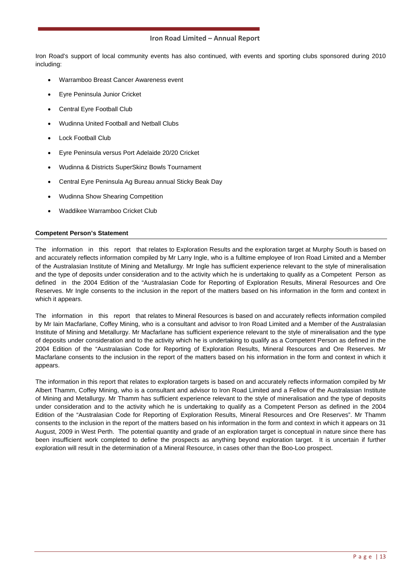Iron Road's support of local community events has also continued, with events and sporting clubs sponsored during 2010 including:

- Warramboo Breast Cancer Awareness event
- Eyre Peninsula Junior Cricket
- Central Eyre Football Club
- Wudinna United Football and Netball Clubs
- Lock Football Club
- Eyre Peninsula versus Port Adelaide 20/20 Cricket
- Wudinna & Districts SuperSkinz Bowls Tournament
- Central Eyre Peninsula Ag Bureau annual Sticky Beak Day
- Wudinna Show Shearing Competition
- Waddikee Warramboo Cricket Club

## **Competent Person's Statement**

The information in this report that relates to Exploration Results and the exploration target at Murphy South is based on and accurately reflects information compiled by Mr Larry Ingle, who is a fulltime employee of Iron Road Limited and a Member of the Australasian Institute of Mining and Metallurgy. Mr Ingle has sufficient experience relevant to the style of mineralisation and the type of deposits under consideration and to the activity which he is undertaking to qualify as a Competent Person as defined in the 2004 Edition of the "Australasian Code for Reporting of Exploration Results, Mineral Resources and Ore Reserves. Mr Ingle consents to the inclusion in the report of the matters based on his information in the form and context in which it appears.

The information in this report that relates to Mineral Resources is based on and accurately reflects information compiled by Mr Iain Macfarlane, Coffey Mining, who is a consultant and advisor to Iron Road Limited and a Member of the Australasian Institute of Mining and Metallurgy. Mr Macfarlane has sufficient experience relevant to the style of mineralisation and the type of deposits under consideration and to the activity which he is undertaking to qualify as a Competent Person as defined in the 2004 Edition of the "Australasian Code for Reporting of Exploration Results, Mineral Resources and Ore Reserves. Mr Macfarlane consents to the inclusion in the report of the matters based on his information in the form and context in which it appears.

The information in this report that relates to exploration targets is based on and accurately reflects information compiled by Mr Albert Thamm, Coffey Mining, who is a consultant and advisor to Iron Road Limited and a Fellow of the Australasian Institute of Mining and Metallurgy. Mr Thamm has sufficient experience relevant to the style of mineralisation and the type of deposits under consideration and to the activity which he is undertaking to qualify as a Competent Person as defined in the 2004 Edition of the "Australasian Code for Reporting of Exploration Results, Mineral Resources and Ore Reserves". Mr Thamm consents to the inclusion in the report of the matters based on his information in the form and context in which it appears on 31 August, 2009 in West Perth. The potential quantity and grade of an exploration target is conceptual in nature since there has been insufficient work completed to define the prospects as anything beyond exploration target. It is uncertain if further exploration will result in the determination of a Mineral Resource, in cases other than the Boo-Loo prospect.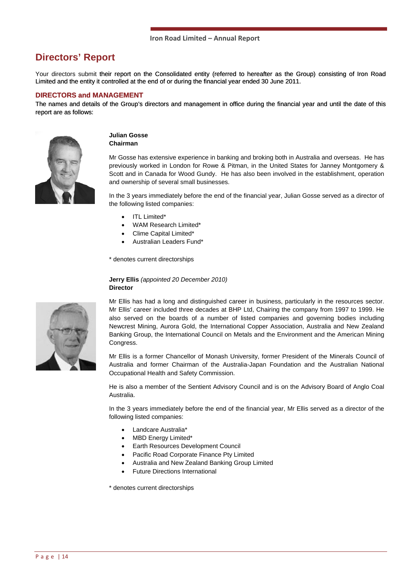## **Directors' Report**

Your directors submit their report on the Consolidated entity (referred to hereafter as the Group) consisting of Iron Road Limited and the entity it controlled at the end of or during the financial year ended 30 June 2011.

## **DIRECTORS and MANAGEMENT**

The names and details of the Group's directors and management in office during the financial year and until the date of this report are as follows:



#### **Julian Gosse Chairman**

Mr Gosse has extensive experience in banking and broking both in Australia and overseas. He has previously worked in London for Rowe & Pitman, in the United States for Janney Montgomery & Scott and in Canada for Wood Gundy. He has also been involved in the establishment, operation and ownership of several small businesses.

In the 3 years immediately before the end of the financial year, Julian Gosse served as a director of the following listed companies:

- ITL Limited\*
- WAM Research Limited\*
- Clime Capital Limited\*
- Australian Leaders Fund\*

\* denotes current directorships

**Jerry Ellis** *(appointed 20 December 2010)* **Director**



Mr Ellis has had a long and distinguished career in business, particularly in the resources sector. Mr Ellis' career included three decades at BHP Ltd, Chairing the company from 1997 to 1999. He also served on the boards of a number of listed companies and governing bodies including Newcrest Mining, Aurora Gold, the International Copper Association, Australia and New Zealand Banking Group, the International Council on Metals and the Environment and the American Mining Congress.

Mr Ellis is a former Chancellor of Monash University, former President of the Minerals Council of Australia and former Chairman of the Australia-Japan Foundation and the Australian National Occupational Health and Safety Commission.

He is also a member of the Sentient Advisory Council and is on the Advisory Board of Anglo Coal Australia.

In the 3 years immediately before the end of the financial year, Mr Ellis served as a director of the following listed companies:

- Landcare Australia\*
- MBD Energy Limited\*
- Earth Resources Development Council
- Pacific Road Corporate Finance Pty Limited
- Australia and New Zealand Banking Group Limited
- Future Directions International

\* denotes current directorships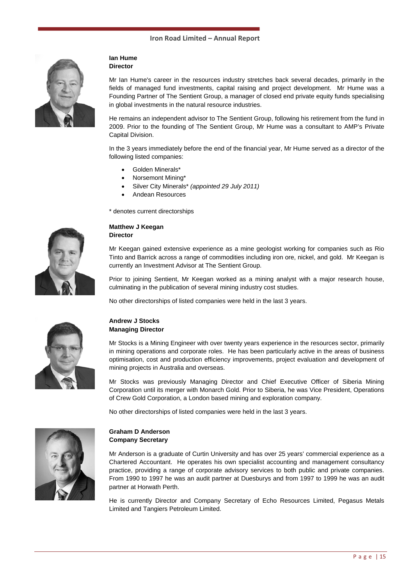

#### **Ian Hume Director**

Mr Ian Hume's career in the resources industry stretches back several decades, primarily in the fields of managed fund investments, capital raising and project development. Mr Hume was a Founding Partner of The Sentient Group, a manager of closed end private equity funds specialising in global investments in the natural resource industries.

He remains an independent advisor to The Sentient Group, following his retirement from the fund in 2009. Prior to the founding of The Sentient Group, Mr Hume was a consultant to AMP's Private Capital Division.

In the 3 years immediately before the end of the financial year, Mr Hume served as a director of the following listed companies:

- Golden Minerals\*
- Norsemont Mining\*
- Silver City Minerals\* *(appointed 29 July 2011)*
- Andean Resources

\* denotes current directorships



#### **Matthew J Keegan Director**

Mr Keegan gained extensive experience as a mine geologist working for companies such as Rio Tinto and Barrick across a range of commodities including iron ore, nickel, and gold. Mr Keegan is currently an Investment Advisor at The Sentient Group.

Prior to joining Sentient, Mr Keegan worked as a mining analyst with a major research house, culminating in the publication of several mining industry cost studies.

No other directorships of listed companies were held in the last 3 years.



#### **Andrew J Stocks Managing Director**

Mr Stocks is a Mining Engineer with over twenty years experience in the resources sector, primarily in mining operations and corporate roles. He has been particularly active in the areas of business optimisation, cost and production efficiency improvements, project evaluation and development of mining projects in Australia and overseas.

Mr Stocks was previously Managing Director and Chief Executive Officer of Siberia Mining Corporation until its merger with Monarch Gold. Prior to Siberia, he was Vice President, Operations of Crew Gold Corporation, a London based mining and exploration company.

No other directorships of listed companies were held in the last 3 years.



### **Graham D Anderson Company Secretary**

Mr Anderson is a graduate of Curtin University and has over 25 years' commercial experience as a Chartered Accountant. He operates his own specialist accounting and management consultancy practice, providing a range of corporate advisory services to both public and private companies. From 1990 to 1997 he was an audit partner at Duesburys and from 1997 to 1999 he was an audit partner at Horwath Perth.

He is currently Director and Company Secretary of Echo Resources Limited, Pegasus Metals Limited and Tangiers Petroleum Limited.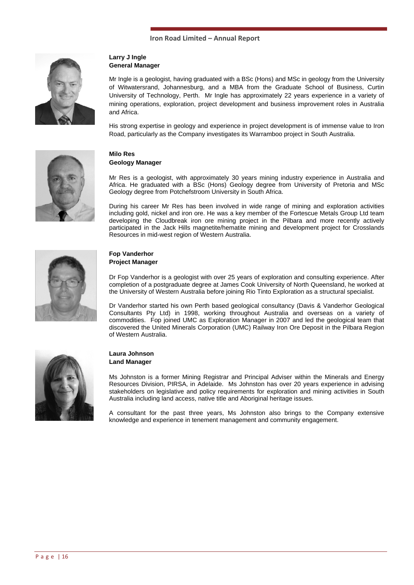

#### **Larry J Ingle General Manager**

Mr Ingle is a geologist, having graduated with a BSc (Hons) and MSc in geology from the University of Witwatersrand, Johannesburg, and a MBA from the Graduate School of Business, Curtin University of Technology, Perth. Mr Ingle has approximately 22 years experience in a variety of mining operations, exploration, project development and business improvement roles in Australia and Africa.

His strong expertise in geology and experience in project development is of immense value to Iron Road, particularly as the Company investigates its Warramboo project in South Australia.



#### **Milo Res Geology Manager**

Mr Res is a geologist, with approximately 30 years mining industry experience in Australia and Africa. He graduated with a BSc (Hons) Geology degree from University of Pretoria and MSc Geology degree from Potchefstroom University in South Africa.

During his career Mr Res has been involved in wide range of mining and exploration activities including gold, nickel and iron ore. He was a key member of the Fortescue Metals Group Ltd team developing the Cloudbreak iron ore mining project in the Pilbara and more recently actively participated in the Jack Hills magnetite/hematite mining and development project for Crosslands Resources in mid-west region of Western Australia.

## **Fop Vanderhor Project Manager**

Dr Fop Vanderhor is a geologist with over 25 years of exploration and consulting experience. After completion of a postgraduate degree at James Cook University of North Queensland, he worked at the University of Western Australia before joining Rio Tinto Exploration as a structural specialist.

Dr Vanderhor started his own Perth based geological consultancy (Davis & Vanderhor Geological Consultants Pty Ltd) in 1998, working throughout Australia and overseas on a variety of commodities. Fop joined UMC as Exploration Manager in 2007 and led the geological team that discovered the United Minerals Corporation (UMC) Railway Iron Ore Deposit in the Pilbara Region of Western Australia.



#### **Laura Johnson Land Manager**

Ms Johnston is a former Mining Registrar and Principal Adviser within the Minerals and Energy Resources Division, PIRSA, in Adelaide. Ms Johnston has over 20 years experience in advising stakeholders on legislative and policy requirements for exploration and mining activities in South Australia including land access, native title and Aboriginal heritage issues.

A consultant for the past three years, Ms Johnston also brings to the Company extensive knowledge and experience in tenement management and community engagement.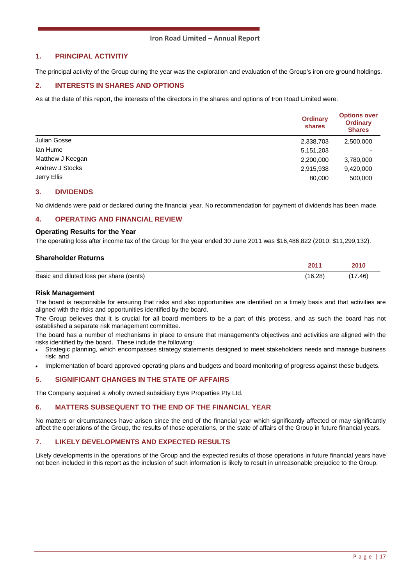## **1. PRINCIPAL ACTIVITIY**

The principal activity of the Group during the year was the exploration and evaluation of the Group's iron ore ground holdings.

## **2. INTERESTS IN SHARES AND OPTIONS**

As at the date of this report, the interests of the directors in the shares and options of Iron Road Limited were:

|                  | <b>Ordinary</b><br>shares | <b>Options over</b><br><b>Ordinary</b><br><b>Shares</b> |
|------------------|---------------------------|---------------------------------------------------------|
| Julian Gosse     | 2,338,703                 | 2,500,000                                               |
| lan Hume         | 5,151,203                 |                                                         |
| Matthew J Keegan | 2,200,000                 | 3,780,000                                               |
| Andrew J Stocks  | 2,915,938                 | 9,420,000                                               |
| Jerry Ellis      | 80,000                    | 500,000                                                 |

### **3. DIVIDENDS**

No dividends were paid or declared during the financial year. No recommendation for payment of dividends has been made.

## **4. OPERATING AND FINANCIAL REVIEW**

#### **Operating Results for the Year**

The operating loss after income tax of the Group for the year ended 30 June 2011 was \$16,486,822 (2010: \$11,299,132).

|  |  |  | <b>Shareholder Returns</b> |  |
|--|--|--|----------------------------|--|
|--|--|--|----------------------------|--|

|                                          |         | 2010    |
|------------------------------------------|---------|---------|
| Basic and diluted loss per share (cents) | (16.28) | (17.46) |

#### **Risk Management**

The board is responsible for ensuring that risks and also opportunities are identified on a timely basis and that activities are aligned with the risks and opportunities identified by the board.

The Group believes that it is crucial for all board members to be a part of this process, and as such the board has not established a separate risk management committee.

The board has a number of mechanisms in place to ensure that management's objectives and activities are aligned with the risks identified by the board. These include the following:

- Strategic planning, which encompasses strategy statements designed to meet stakeholders needs and manage business risk; and
- Implementation of board approved operating plans and budgets and board monitoring of progress against these budgets.

## **5. SIGNIFICANT CHANGES IN THE STATE OF AFFAIRS**

The Company acquired a wholly owned subsidiary Eyre Properties Pty Ltd.

## **6. MATTERS SUBSEQUENT TO THE END OF THE FINANCIAL YEAR**

No matters or circumstances have arisen since the end of the financial year which significantly affected or may significantly affect the operations of the Group, the results of those operations, or the state of affairs of the Group in future financial years.

## **7. LIKELY DEVELOPMENTS AND EXPECTED RESULTS**

Likely developments in the operations of the Group and the expected results of those operations in future financial years have not been included in this report as the inclusion of such information is likely to result in unreasonable prejudice to the Group.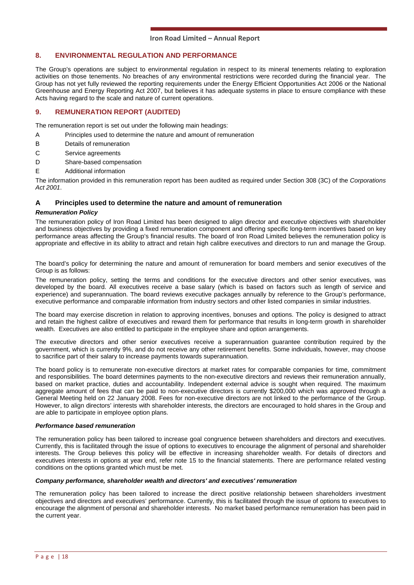## **8. ENVIRONMENTAL REGULATION AND PERFORMANCE**

The Group's operations are subject to environmental regulation in respect to its mineral tenements relating to exploration activities on those tenements. No breaches of any environmental restrictions were recorded during the financial year. The Group has not yet fully reviewed the reporting requirements under the Energy Efficient Opportunities Act 2006 or the National Greenhouse and Energy Reporting Act 2007, but believes it has adequate systems in place to ensure compliance with these Acts having regard to the scale and nature of current operations.

## **9. REMUNERATION REPORT (AUDITED)**

The remuneration report is set out under the following main headings:

- A Principles used to determine the nature and amount of remuneration
- B Details of remuneration
- C Service agreements
- D Share-based compensation
- E Additional information

The information provided in this remuneration report has been audited as required under Section 308 (3C) of the *Corporations Act 2001*.

## **A Principles used to determine the nature and amount of remuneration**

#### *Remuneration Policy*

The remuneration policy of Iron Road Limited has been designed to align director and executive objectives with shareholder and business objectives by providing a fixed remuneration component and offering specific long-term incentives based on key performance areas affecting the Group's financial results. The board of Iron Road Limited believes the remuneration policy is appropriate and effective in its ability to attract and retain high calibre executives and directors to run and manage the Group.

The board's policy for determining the nature and amount of remuneration for board members and senior executives of the Group is as follows:

The remuneration policy, setting the terms and conditions for the executive directors and other senior executives, was developed by the board. All executives receive a base salary (which is based on factors such as length of service and experience) and superannuation. The board reviews executive packages annually by reference to the Group's performance, executive performance and comparable information from industry sectors and other listed companies in similar industries.

The board may exercise discretion in relation to approving incentives, bonuses and options. The policy is designed to attract and retain the highest calibre of executives and reward them for performance that results in long-term growth in shareholder wealth. Executives are also entitled to participate in the employee share and option arrangements.

The executive directors and other senior executives receive a superannuation guarantee contribution required by the government, which is currently 9%, and do not receive any other retirement benefits. Some individuals, however, may choose to sacrifice part of their salary to increase payments towards superannuation.

The board policy is to remunerate non-executive directors at market rates for comparable companies for time, commitment and responsibilities. The board determines payments to the non-executive directors and reviews their remuneration annually, based on market practice, duties and accountability. Independent external advice is sought when required. The maximum aggregate amount of fees that can be paid to non-executive directors is currently \$200,000 which was approved through a General Meeting held on 22 January 2008. Fees for non-executive directors are not linked to the performance of the Group. However, to align directors' interests with shareholder interests, the directors are encouraged to hold shares in the Group and are able to participate in employee option plans.

#### *Performance based remuneration*

The remuneration policy has been tailored to increase goal congruence between shareholders and directors and executives. Currently, this is facilitated through the issue of options to executives to encourage the alignment of personal and shareholder interests. The Group believes this policy will be effective in increasing shareholder wealth. For details of directors and executives interests in options at year end, refer note 15 to the financial statements. There are performance related vesting conditions on the options granted which must be met.

#### *Company performance, shareholder wealth and directors' and executives' remuneration*

The remuneration policy has been tailored to increase the direct positive relationship between shareholders investment objectives and directors and executives' performance. Currently, this is facilitated through the issue of options to executives to encourage the alignment of personal and shareholder interests. No market based performance remuneration has been paid in the current year.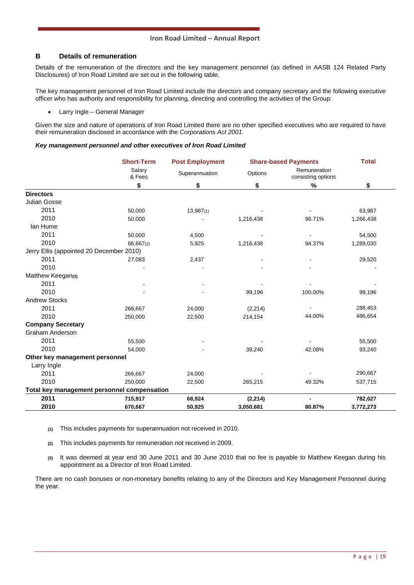## **B Details of remuneration**

Details of the remuneration of the directors and the key management personnel (as defined in AASB 124 Related Party Disclosures) of Iron Road Limited are set out in the following table.

The key management personnel of Iron Road Limited include the directors and company secretary and the following executive officer who has authority and responsibility for planning, directing and controlling the activities of the Group:

• Larry Ingle – General Manager

Given the size and nature of operations of Iron Road Limited there are no other specified executives who are required to have their remuneration disclosed in accordance with the *Corporations Act 2001.*

#### *Key management personnel and other executives of Iron Road Limited*

|                                             | <b>Short-Term</b> | <b>Post Employment</b> |           | <b>Share-based Payments</b>        | <b>Total</b> |  |
|---------------------------------------------|-------------------|------------------------|-----------|------------------------------------|--------------|--|
|                                             | Salary<br>& Fees  | Superannuation         |           | Remuneration<br>consisting options |              |  |
|                                             | \$                | \$                     | \$        | %                                  | \$           |  |
| <b>Directors</b>                            |                   |                        |           |                                    |              |  |
| Julian Gosse                                |                   |                        |           |                                    |              |  |
| 2011                                        | 50,000            | 13,987(1)              |           |                                    | 63,987       |  |
| 2010                                        | 50,000            |                        | 1,216,438 | 96.71%                             | 1,266,438    |  |
| lan Hume                                    |                   |                        |           |                                    |              |  |
| 2011                                        | 50,000            | 4,500                  |           |                                    | 54,500       |  |
| 2010                                        | 66,667(2)         | 5,925                  | 1,216,438 | 94.37%                             | 1,289,030    |  |
| Jerry Ellis (appointed 20 December 2010)    |                   |                        |           |                                    |              |  |
| 2011                                        | 27,083            | 2,437                  |           |                                    | 29,520       |  |
| 2010                                        |                   |                        |           |                                    |              |  |
| Matthew Keegan(3)                           |                   |                        |           |                                    |              |  |
| 2011                                        |                   |                        |           |                                    |              |  |
| 2010                                        |                   |                        | 99,196    | 100.00%                            | 99,196       |  |
| <b>Andrew Stocks</b>                        |                   |                        |           |                                    |              |  |
| 2011                                        | 266,667           | 24,000                 | (2, 214)  |                                    | 288,453      |  |
| 2010                                        | 250,000           | 22,500                 | 214,154   | 44.00%                             | 486,654      |  |
| <b>Company Secretary</b>                    |                   |                        |           |                                    |              |  |
| <b>Graham Anderson</b>                      |                   |                        |           |                                    |              |  |
| 2011                                        | 55,500            |                        |           |                                    | 55,500       |  |
| 2010                                        | 54,000            |                        | 39,240    | 42.08%                             | 93,240       |  |
| Other key management personnel              |                   |                        |           |                                    |              |  |
| Larry Ingle                                 |                   |                        |           |                                    |              |  |
| 2011                                        | 266,667           | 24,000                 |           |                                    | 290,667      |  |
| 2010                                        | 250,000           | 22,500                 | 265,215   | 49.32%                             | 537,715      |  |
| Total key management personnel compensation |                   |                        |           |                                    |              |  |
| 2011                                        | 715,917           | 68,924                 | (2, 214)  | $\blacksquare$                     | 782,627      |  |
| 2010                                        | 670,667           | 50,925                 | 3,050,681 | 80.87%                             | 3,772,273    |  |

**(1)** This includes payments for superannuation not received in 2010.

- **(2)** This includes payments for remuneration not received in 2009.
- **(3)** It was deemed at year end 30 June 2011 and 30 June 2010 that no fee is payable to Matthew Keegan during his appointment as a Director of Iron Road Limited.

There are no cash bonuses or non-monetary benefits relating to any of the Directors and Key Management Personnel during the year.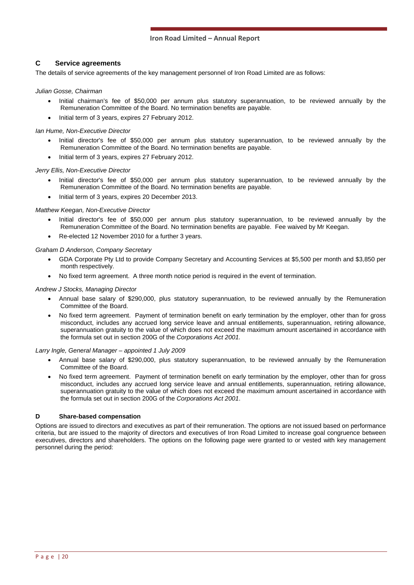## **C Service agreements**

The details of service agreements of the key management personnel of Iron Road Limited are as follows:

*Julian Gosse, Chairman* 

- Initial chairman's fee of \$50,000 per annum plus statutory superannuation, to be reviewed annually by the Remuneration Committee of the Board. No termination benefits are payable.
- Initial term of 3 years, expires 27 February 2012.

*Ian Hume, Non-Executive Director* 

- Initial director's fee of \$50,000 per annum plus statutory superannuation, to be reviewed annually by the Remuneration Committee of the Board. No termination benefits are payable.
- Initial term of 3 years, expires 27 February 2012.

*Jerry Ellis, Non-Executive Director* 

- Initial director's fee of \$50,000 per annum plus statutory superannuation, to be reviewed annually by the Remuneration Committee of the Board. No termination benefits are payable.
- Initial term of 3 years, expires 20 December 2013.

#### *Matthew Keegan, Non-Executive Director*

- Initial director's fee of \$50,000 per annum plus statutory superannuation, to be reviewed annually by the Remuneration Committee of the Board. No termination benefits are payable. Fee waived by Mr Keegan.
- Re-elected 12 November 2010 for a further 3 years.

*Graham D Anderson, Company Secretary* 

- GDA Corporate Pty Ltd to provide Company Secretary and Accounting Services at \$5,500 per month and \$3,850 per month respectively.
- No fixed term agreement. A three month notice period is required in the event of termination.

#### *Andrew J Stocks, Managing Director*

- Annual base salary of \$290,000, plus statutory superannuation, to be reviewed annually by the Remuneration Committee of the Board.
- No fixed term agreement. Payment of termination benefit on early termination by the employer, other than for gross misconduct, includes any accrued long service leave and annual entitlements, superannuation, retiring allowance, superannuation gratuity to the value of which does not exceed the maximum amount ascertained in accordance with the formula set out in section 200G of the *Corporations Act 2001.*

*Larry Ingle, General Manager – appointed 1 July 2009* 

- Annual base salary of \$290,000, plus statutory superannuation, to be reviewed annually by the Remuneration Committee of the Board.
- No fixed term agreement. Payment of termination benefit on early termination by the employer, other than for gross misconduct, includes any accrued long service leave and annual entitlements, superannuation, retiring allowance, superannuation gratuity to the value of which does not exceed the maximum amount ascertained in accordance with the formula set out in section 200G of the *Corporations Act 2001*.

#### **D Share-based compensation**

Options are issued to directors and executives as part of their remuneration. The options are not issued based on performance criteria, but are issued to the majority of directors and executives of Iron Road Limited to increase goal congruence between executives, directors and shareholders. The options on the following page were granted to or vested with key management personnel during the period: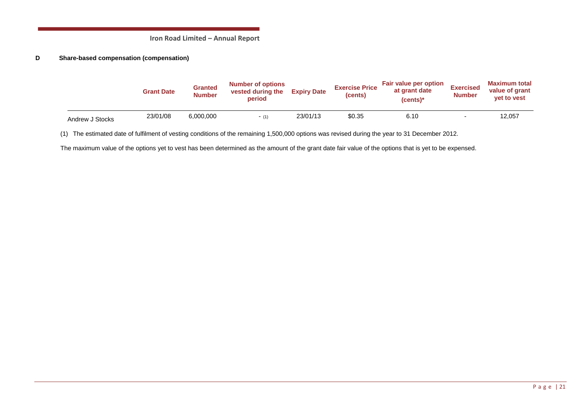## **D Share-based compensation (compensation)**

|                 | <b>Grant Date</b> | <b>Granted</b><br><b>Number</b> | <b>Number of options</b><br>vested during the<br>period | <b>Expiry Date</b> | <b>Exercise Price</b><br>(cents) | Fair value per option<br>at grant date<br>$(cents)*$ | <b>Exercised</b><br><b>Number</b> | <b>Maximum total</b><br>value of grant<br><b>vet to vest</b> |
|-----------------|-------------------|---------------------------------|---------------------------------------------------------|--------------------|----------------------------------|------------------------------------------------------|-----------------------------------|--------------------------------------------------------------|
| Andrew J Stocks | 23/01/08          | 6,000,000                       | $-$ (1)                                                 | 23/01/13           | \$0.35                           | 6.10                                                 | $\overline{\phantom{a}}$          | 12,057                                                       |

(1) The estimated date of fulfilment of vesting conditions of the remaining 1,500,000 options was revised during the year to 31 December 2012.

The maximum value of the options yet to vest has been determined as the amount of the grant date fair value of the options that is yet to be expensed.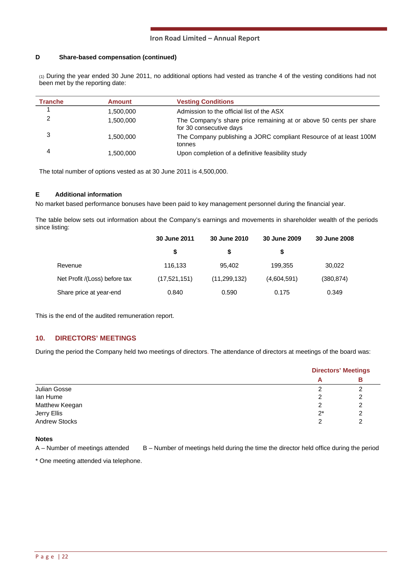## **D Share-based compensation (continued)**

(1) During the year ended 30 June 2011, no additional options had vested as tranche 4 of the vesting conditions had not been met by the reporting date:

| <b>Tranche</b> | <b>Amount</b> | <b>Vesting Conditions</b>                                                                     |
|----------------|---------------|-----------------------------------------------------------------------------------------------|
|                | 1,500,000     | Admission to the official list of the ASX                                                     |
| 2              | 1,500,000     | The Company's share price remaining at or above 50 cents per share<br>for 30 consecutive days |
| 3              | 1.500.000     | The Company publishing a JORC compliant Resource of at least 100M<br>tonnes                   |
| 4              | 1,500,000     | Upon completion of a definitive feasibility study                                             |

The total number of options vested as at 30 June 2011 is 4,500,000.

## **E Additional information**

No market based performance bonuses have been paid to key management personnel during the financial year.

The table below sets out information about the Company's earnings and movements in shareholder wealth of the periods since listing:

|                               | 30 June 2011 | 30 June 2010   | 30 June 2009 | 30 June 2008 |  |
|-------------------------------|--------------|----------------|--------------|--------------|--|
|                               | S            | S              | S            |              |  |
| Revenue                       | 116.133      | 95,402         | 199,355      | 30,022       |  |
| Net Profit /(Loss) before tax | (17,521,151) | (11, 299, 132) | (4,604,591)  | (380,874)    |  |
| Share price at year-end       | 0.840        | 0.590          | 0.175        | 0.349        |  |

This is the end of the audited remuneration report.

## **10. DIRECTORS' MEETINGS**

During the period the Company held two meetings of directors. The attendance of directors at meetings of the board was:

|                      |       | <b>Directors' Meetings</b> |  |
|----------------------|-------|----------------------------|--|
|                      | А     | в                          |  |
| Julian Gosse         |       |                            |  |
| lan Hume             |       |                            |  |
| Matthew Keegan       |       |                            |  |
| Jerry Ellis          | $2^*$ |                            |  |
| <b>Andrew Stocks</b> |       |                            |  |

#### **Notes**

A – Number of meetings attended B – Number of meetings held during the time the director held office during the period

\* One meeting attended via telephone.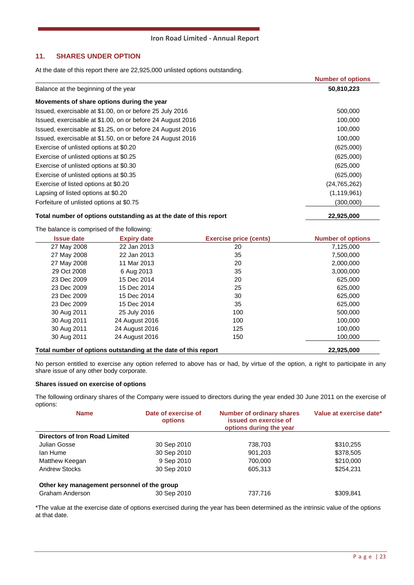## **11. SHARES UNDER OPTION**

At the date of this report there are 22,925,000 unlisted options outstanding.

|                                                                   | <b>Number of options</b> |
|-------------------------------------------------------------------|--------------------------|
| Balance at the beginning of the year                              | 50,810,223               |
| Movements of share options during the year                        |                          |
| Issued, exercisable at \$1.00, on or before 25 July 2016          | 500,000                  |
| Issued, exercisable at \$1.00, on or before 24 August 2016        | 100,000                  |
| Issued, exercisable at \$1.25, on or before 24 August 2016        | 100,000                  |
| Issued, exercisable at \$1.50, on or before 24 August 2016        | 100,000                  |
| Exercise of unlisted options at \$0.20                            | (625,000)                |
| Exercise of unlisted options at \$0.25                            | (625,000)                |
| Exercise of unlisted options at \$0.30                            | (625,000)                |
| Exercise of unlisted options at \$0.35                            | (625,000)                |
| Exercise of listed options at \$0.20                              | (24, 765, 262)           |
| Lapsing of listed options at \$0.20                               | (1, 119, 961)            |
| Forfeiture of unlisted options at \$0.75                          | (300,000)                |
| Total number of options outstanding as at the date of this report | 22,925,000               |

The balance is comprised of the following:

| <b>Issue date</b> | <b>Expiry date</b>                                             | <b>Exercise price (cents)</b> | <b>Number of options</b> |
|-------------------|----------------------------------------------------------------|-------------------------------|--------------------------|
| 27 May 2008       | 22 Jan 2013                                                    | 20                            | 7,125,000                |
| 27 May 2008       | 22 Jan 2013                                                    | 35                            | 7,500,000                |
| 27 May 2008       | 11 Mar 2013                                                    | 20                            | 2,000,000                |
| 29 Oct 2008       | 6 Aug 2013                                                     | 35                            | 3,000,000                |
| 23 Dec 2009       | 15 Dec 2014                                                    | 20                            | 625,000                  |
| 23 Dec 2009       | 15 Dec 2014                                                    | 25                            | 625,000                  |
| 23 Dec 2009       | 15 Dec 2014                                                    | 30                            | 625,000                  |
| 23 Dec 2009       | 15 Dec 2014                                                    | 35                            | 625,000                  |
| 30 Aug 2011       | 25 July 2016                                                   | 100                           | 500.000                  |
| 30 Aug 2011       | 24 August 2016                                                 | 100                           | 100.000                  |
| 30 Aug 2011       | 24 August 2016                                                 | 125                           | 100,000                  |
| 30 Aug 2011       | 24 August 2016                                                 | 150                           | 100,000                  |
|                   | Total number of options outstanding at the date of this report |                               | 22,925,000               |

No person entitled to exercise any option referred to above has or had, by virtue of the option, a right to participate in any share issue of any other body corporate.

### **Shares issued on exercise of options**

The following ordinary shares of the Company were issued to directors during the year ended 30 June 2011 on the exercise of options:

| <b>Name</b>                                 | Date of exercise of<br>options | <b>Number of ordinary shares</b><br>issued on exercise of<br>options during the year | Value at exercise date* |
|---------------------------------------------|--------------------------------|--------------------------------------------------------------------------------------|-------------------------|
| Directors of Iron Road Limited              |                                |                                                                                      |                         |
| Julian Gosse                                | 30 Sep 2010                    | 738,703                                                                              | \$310,255               |
| lan Hume                                    | 30 Sep 2010                    | 901,203                                                                              | \$378,505               |
| Matthew Keegan                              | 9 Sep 2010                     | 700,000                                                                              | \$210,000               |
| <b>Andrew Stocks</b>                        | 30 Sep 2010                    | 605,313                                                                              | \$254,231               |
| Other key management personnel of the group |                                |                                                                                      |                         |
| Graham Anderson                             | 30 Sep 2010                    | 737,716                                                                              | \$309,841               |

\*The value at the exercise date of options exercised during the year has been determined as the intrinsic value of the options at that date.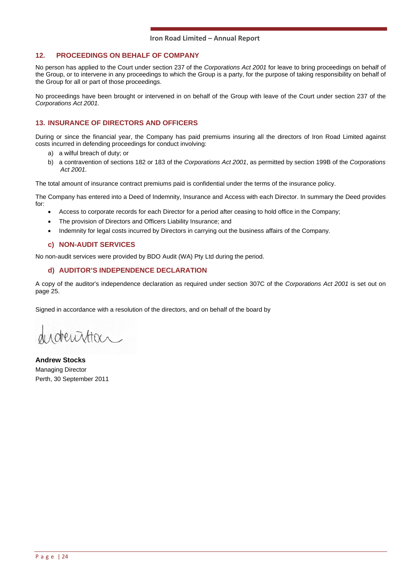## **12. PROCEEDINGS ON BEHALF OF COMPANY**

No person has applied to the Court under section 237 of the *Corporations Act 2001* for leave to bring proceedings on behalf of the Group, or to intervene in any proceedings to which the Group is a party, for the purpose of taking responsibility on behalf of the Group for all or part of those proceedings.

No proceedings have been brought or intervened in on behalf of the Group with leave of the Court under section 237 of the *Corporations Act 2001.*

## **13. INSURANCE OF DIRECTORS AND OFFICERS**

During or since the financial year, the Company has paid premiums insuring all the directors of Iron Road Limited against costs incurred in defending proceedings for conduct involving:

- a) a wilful breach of duty; or
- b) a contravention of sections 182 or 183 of the *Corporations Act 2001*, as permitted by section 199B of the *Corporations Act 2001*.

The total amount of insurance contract premiums paid is confidential under the terms of the insurance policy.

The Company has entered into a Deed of Indemnity, Insurance and Access with each Director. In summary the Deed provides for:

- Access to corporate records for each Director for a period after ceasing to hold office in the Company;
- The provision of Directors and Officers Liability Insurance; and
- Indemnity for legal costs incurred by Directors in carrying out the business affairs of the Company.

## **c) NON-AUDIT SERVICES**

No non-audit services were provided by BDO Audit (WA) Pty Ltd during the period.

## **d) AUDITOR'S INDEPENDENCE DECLARATION**

A copy of the auditor's independence declaration as required under section 307C of the *Corporations Act 2001* is set out on page 25.

Signed in accordance with a resolution of the directors, and on behalf of the board by

rdrewitter

**Andrew Stocks**  Managing Director Perth, 30 September 2011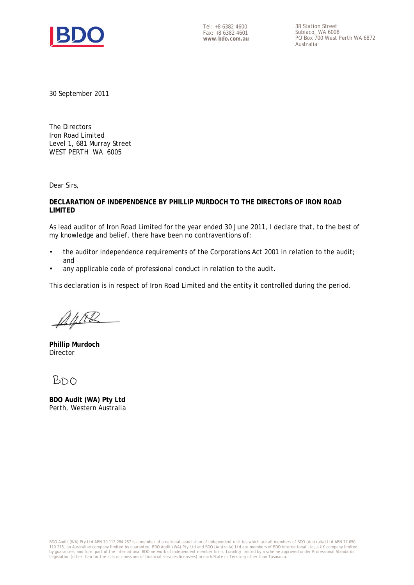

Tel: +8 6382 4600 Fax: +8 6382 4601 **www.bdo.com.au**  38 Station Street Subiaco, WA 6008 PO Box 700 West Perth WA 6872 Australia

30 September 2011

The Directors Iron Road Limited Level 1, 681 Murray Street WEST PERTH WA 6005

Dear Sirs,

## **DECLARATION OF INDEPENDENCE BY PHILLIP MURDOCH TO THE DIRECTORS OF IRON ROAD LIMITED**

As lead auditor of Iron Road Limited for the year ended 30 June 2011, I declare that, to the best of my knowledge and belief, there have been no contraventions of:

- the auditor independence requirements of the Corporations Act 2001 in relation to the audit; and
- any applicable code of professional conduct in relation to the audit.

This declaration is in respect of Iron Road Limited and the entity it controlled during the period.

 $\mathbb{A}\mathbb{A}$ 

**Phillip Murdoch**  Director

BDO

**BDO Audit (WA) Pty Ltd**  Perth, Western Australia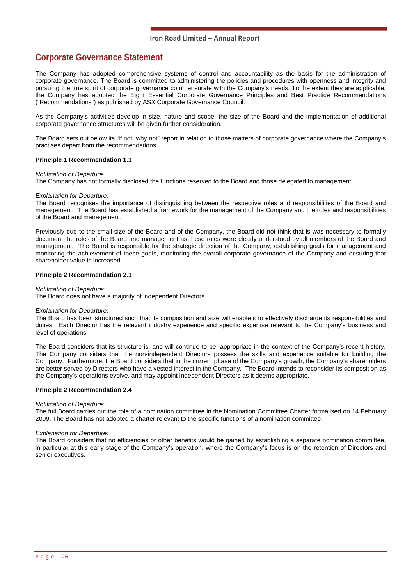## **Corporate Governance Statement**

The Company has adopted comprehensive systems of control and accountability as the basis for the administration of corporate governance. The Board is committed to administering the policies and procedures with openness and integrity and pursuing the true spirit of corporate governance commensurate with the Company's needs. To the extent they are applicable, the Company has adopted the Eight Essential Corporate Governance Principles and Best Practice Recommendations ("Recommendations") as published by ASX Corporate Governance Council.

As the Company's activities develop in size, nature and scope, the size of the Board and the implementation of additional corporate governance structures will be given further consideration.

The Board sets out below its "if not, why not" report in relation to those matters of corporate governance where the Company's practises depart from the recommendations.

#### **Principle 1 Recommendation 1.1**

#### *Notification of Departure*

The Company has not formally disclosed the functions reserved to the Board and those delegated to management.

#### *Explanation for Departure:*

The Board recognises the importance of distinguishing between the respective roles and responsibilities of the Board and management. The Board has established a framework for the management of the Company and the roles and responsibilities of the Board and management.

Previously due to the small size of the Board and of the Company, the Board did not think that is was necessary to formally document the roles of the Board and management as these roles were clearly understood by all members of the Board and management. The Board is responsible for the strategic direction of the Company, establishing goals for management and monitoring the achievement of these goals, monitoring the overall corporate governance of the Company and ensuring that shareholder value is increased.

#### **Principle 2 Recommendation 2.1**

#### *Notification of Departure:*

The Board does not have a majority of independent Directors.

#### *Explanation for Departure:*

The Board has been structured such that its composition and size will enable it to effectively discharge its responsibilities and duties. Each Director has the relevant industry experience and specific expertise relevant to the Company's business and level of operations.

The Board considers that its structure is, and will continue to be, appropriate in the context of the Company's recent history. The Company considers that the non-independent Directors possess the skills and experience suitable for building the Company. Furthermore, the Board considers that in the current phase of the Company's growth, the Company's shareholders are better served by Directors who have a vested interest in the Company. The Board intends to reconsider its composition as the Company's operations evolve, and may appoint independent Directors as it deems appropriate.

#### **Principle 2 Recommendation 2.4**

#### *Notification of Departure:*

The full Board carries out the role of a nomination committee in the Nomination Committee Charter formalised on 14 February 2009. The Board has not adopted a charter relevant to the specific functions of a nomination committee.

#### *Explanation for Departure:*

The Board considers that no efficiencies or other benefits would be gained by establishing a separate nomination committee, in particular at this early stage of the Company's operation, where the Company's focus is on the retention of Directors and senior executives.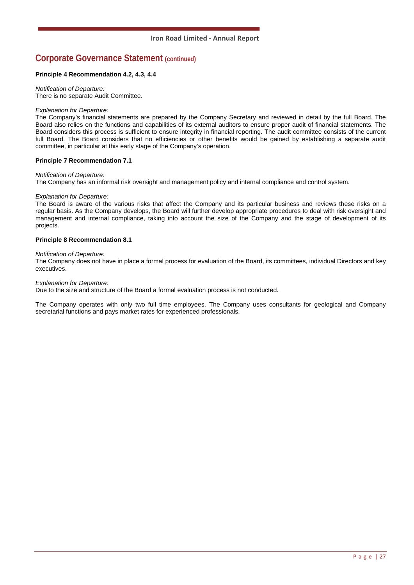## **Corporate Governance Statement (continued)**

## **Principle 4 Recommendation 4.2, 4.3, 4.4**

*Notification of Departure:*  There is no separate Audit Committee.

#### *Explanation for Departure:*

The Company's financial statements are prepared by the Company Secretary and reviewed in detail by the full Board. The Board also relies on the functions and capabilities of its external auditors to ensure proper audit of financial statements. The Board considers this process is sufficient to ensure integrity in financial reporting. The audit committee consists of the current full Board. The Board considers that no efficiencies or other benefits would be gained by establishing a separate audit committee, in particular at this early stage of the Company's operation.

#### **Principle 7 Recommendation 7.1**

#### *Notification of Departure:*

The Company has an informal risk oversight and management policy and internal compliance and control system.

#### *Explanation for Departure:*

The Board is aware of the various risks that affect the Company and its particular business and reviews these risks on a regular basis. As the Company develops, the Board will further develop appropriate procedures to deal with risk oversight and management and internal compliance, taking into account the size of the Company and the stage of development of its projects.

#### **Principle 8 Recommendation 8.1**

#### *Notification of Departure:*

The Company does not have in place a formal process for evaluation of the Board, its committees, individual Directors and key executives.

#### *Explanation for Departure:*

Due to the size and structure of the Board a formal evaluation process is not conducted.

The Company operates with only two full time employees. The Company uses consultants for geological and Company secretarial functions and pays market rates for experienced professionals.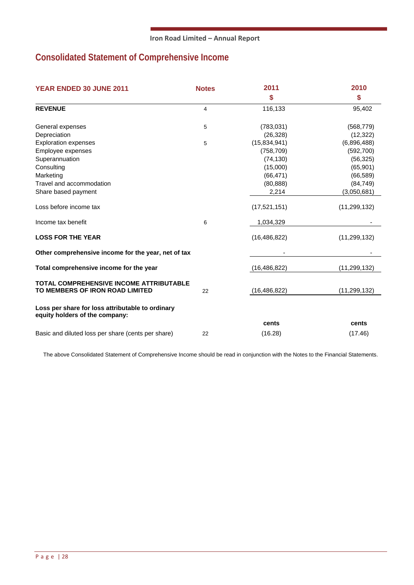## **Consolidated Statement of Comprehensive Income**

| YEAR ENDED 30 JUNE 2011                                                            | <b>Notes</b> | 2011           | 2010           |
|------------------------------------------------------------------------------------|--------------|----------------|----------------|
|                                                                                    |              | \$             | \$             |
| <b>REVENUE</b>                                                                     | 4            | 116,133        | 95,402         |
| General expenses                                                                   | 5            | (783, 031)     | (568, 779)     |
| Depreciation                                                                       |              | (26, 328)      | (12, 322)      |
| <b>Exploration expenses</b>                                                        | 5            | (15,834,941)   | (6,896,488)    |
| Employee expenses                                                                  |              | (758, 709)     | (592,700)      |
| Superannuation                                                                     |              | (74, 130)      | (56, 325)      |
| Consulting                                                                         |              | (15,000)       | (65, 901)      |
| Marketing                                                                          |              | (66, 471)      | (66, 589)      |
| Travel and accommodation                                                           |              | (80, 888)      | (84, 749)      |
| Share based payment                                                                |              | 2,214          | (3,050,681)    |
| Loss before income tax                                                             |              | (17, 521, 151) | (11, 299, 132) |
| Income tax benefit                                                                 | 6            | 1,034,329      |                |
| <b>LOSS FOR THE YEAR</b>                                                           |              | (16, 486, 822) | (11, 299, 132) |
| Other comprehensive income for the year, net of tax                                |              |                |                |
| Total comprehensive income for the year                                            |              | (16, 486, 822) | (11, 299, 132) |
| <b>TOTAL COMPREHENSIVE INCOME ATTRIBUTABLE</b><br>TO MEMBERS OF IRON ROAD LIMITED  | 22           | (16, 486, 822) | (11, 299, 132) |
|                                                                                    |              |                |                |
| Loss per share for loss attributable to ordinary<br>equity holders of the company: |              |                |                |
|                                                                                    |              | cents          | cents          |
| Basic and diluted loss per share (cents per share)                                 | 22           | (16.28)        | (17.46)        |

The above Consolidated Statement of Comprehensive Income should be read in conjunction with the Notes to the Financial Statements.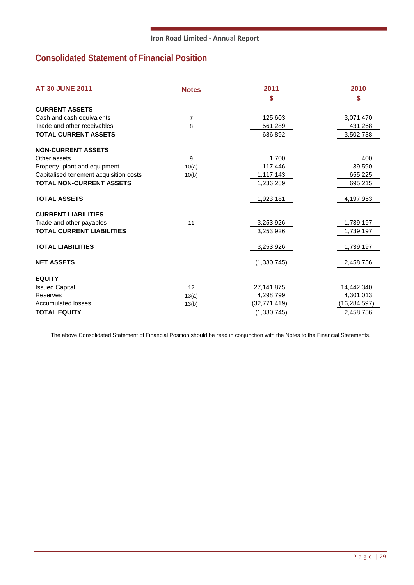## **Consolidated Statement of Financial Position**

| <b>AT 30 JUNE 2011</b>                 | <b>Notes</b>   | 2011          | 2010           |
|----------------------------------------|----------------|---------------|----------------|
|                                        |                | \$            | \$             |
| <b>CURRENT ASSETS</b>                  |                |               |                |
| Cash and cash equivalents              | $\overline{7}$ | 125,603       | 3,071,470      |
| Trade and other receivables            | 8              | 561,289       | 431,268        |
| <b>TOTAL CURRENT ASSETS</b>            |                | 686,892       | 3,502,738      |
| <b>NON-CURRENT ASSETS</b>              |                |               |                |
| Other assets                           | 9              | 1,700         | 400            |
| Property, plant and equipment          | 10(a)          | 117,446       | 39,590         |
| Capitalised tenement acquisition costs | 10(b)          | 1,117,143     | 655,225        |
| <b>TOTAL NON-CURRENT ASSETS</b>        |                | 1,236,289     | 695,215        |
| <b>TOTAL ASSETS</b>                    |                | 1,923,181     | 4,197,953      |
| <b>CURRENT LIABILITIES</b>             |                |               |                |
| Trade and other payables               | 11             | 3,253,926     | 1,739,197      |
| <b>TOTAL CURRENT LIABILITIES</b>       |                | 3,253,926     | 1,739,197      |
| <b>TOTAL LIABILITIES</b>               |                | 3,253,926     | 1,739,197      |
| <b>NET ASSETS</b>                      |                | (1,330,745)   | 2,458,756      |
| <b>EQUITY</b>                          |                |               |                |
| <b>Issued Capital</b>                  | 12             | 27,141,875    | 14,442,340     |
| Reserves                               | 13(a)          | 4,298,799     | 4,301,013      |
| <b>Accumulated losses</b>              | 13(b)          | (32,771,419)  | (16, 284, 597) |
| <b>TOTAL EQUITY</b>                    |                | (1, 330, 745) | 2,458,756      |

The above Consolidated Statement of Financial Position should be read in conjunction with the Notes to the Financial Statements.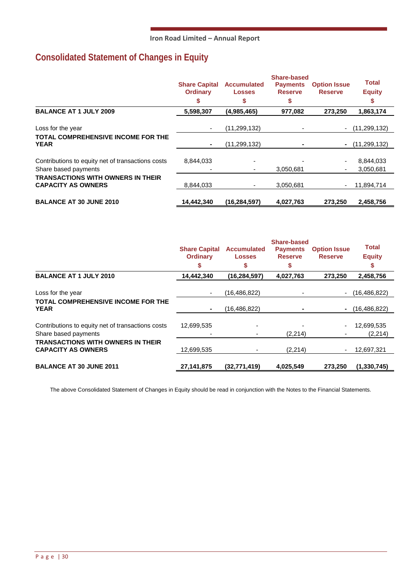## **Consolidated Statement of Changes in Equity**

|                                                                       | <b>Share Capital</b><br><b>Ordinary</b><br>S | <b>Accumulated</b><br><b>Losses</b><br>\$ | <b>Share-based</b><br><b>Payments</b><br><b>Reserve</b><br>S | <b>Option Issue</b><br><b>Reserve</b> | <b>Total</b><br><b>Equity</b><br>\$ |
|-----------------------------------------------------------------------|----------------------------------------------|-------------------------------------------|--------------------------------------------------------------|---------------------------------------|-------------------------------------|
| <b>BALANCE AT 1 JULY 2009</b>                                         | 5,598,307                                    | (4,985,465)                               | 977,082                                                      | 273,250                               | 1,863,174                           |
| Loss for the year                                                     | $\overline{\phantom{a}}$                     | (11,299,132)                              |                                                              | ۰.                                    | (11, 299, 132)                      |
| <b>TOTAL COMPREHENSIVE INCOME FOR THE</b><br><b>YEAR</b>              | $\blacksquare$                               | (11,299,132)                              |                                                              |                                       | (11, 299, 132)                      |
| Contributions to equity net of transactions costs                     | 8,844,033                                    | ٠                                         |                                                              | ۰.                                    | 8,844,033                           |
| Share based payments                                                  |                                              |                                           | 3,050,681                                                    | ۰                                     | 3,050,681                           |
| <b>TRANSACTIONS WITH OWNERS IN THEIR</b><br><b>CAPACITY AS OWNERS</b> | 8,844,033                                    |                                           | 3,050,681                                                    | Ξ.                                    | 11.894.714                          |
| <b>BALANCE AT 30 JUNE 2010</b>                                        | 14.442.340                                   | (16.284.597)                              | 4.027.763                                                    | 273.250                               | 2,458,756                           |

|                                                                                               | <b>Share Capital</b><br><b>Ordinary</b><br>S | <b>Accumulated</b><br><b>Losses</b><br>\$ | Share-based<br><b>Payments</b><br><b>Reserve</b><br>S | <b>Option Issue</b><br><b>Reserve</b> | Total<br><b>Equity</b><br>S |
|-----------------------------------------------------------------------------------------------|----------------------------------------------|-------------------------------------------|-------------------------------------------------------|---------------------------------------|-----------------------------|
| <b>BALANCE AT 1 JULY 2010</b>                                                                 | 14,442,340                                   | (16, 284, 597)                            | 4,027,763                                             | 273,250                               | 2,458,756                   |
| Loss for the year<br><b>TOTAL COMPREHENSIVE INCOME FOR THE</b>                                | ٠                                            | (16, 486, 822)                            |                                                       |                                       | (16, 486, 822)              |
| <b>YEAR</b>                                                                                   | $\sim$                                       | (16,486,822)                              |                                                       | ۰.                                    | (16, 486, 822)              |
| Contributions to equity net of transactions costs                                             | 12,699,535                                   |                                           |                                                       |                                       | 12,699,535                  |
| Share based payments<br><b>TRANSACTIONS WITH OWNERS IN THEIR</b><br><b>CAPACITY AS OWNERS</b> | 12,699,535                                   |                                           | (2,214)<br>(2,214)                                    | ۰<br>٠                                | (2,214)<br>12,697,321       |
| <b>BALANCE AT 30 JUNE 2011</b>                                                                | 27,141,875                                   | (32,771,419)                              | 4,025,549                                             | 273,250                               | (1, 330, 745)               |

The above Consolidated Statement of Changes in Equity should be read in conjunction with the Notes to the Financial Statements.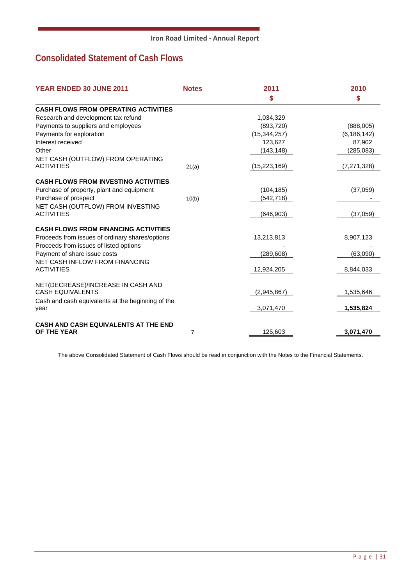## **Consolidated Statement of Cash Flows**

| YEAR ENDED 30 JUNE 2011                                       | <b>Notes</b>   | 2011           | 2010          |
|---------------------------------------------------------------|----------------|----------------|---------------|
|                                                               |                | \$             | \$            |
| <b>CASH FLOWS FROM OPERATING ACTIVITIES</b>                   |                |                |               |
| Research and development tax refund                           |                | 1,034,329      |               |
| Payments to suppliers and employees                           |                | (893, 720)     | (888,005)     |
| Payments for exploration                                      |                | (15, 344, 257) | (6, 186, 142) |
| Interest received                                             |                | 123,627        | 87,902        |
| Other                                                         |                | (143, 148)     | (285, 083)    |
| NET CASH (OUTFLOW) FROM OPERATING                             |                |                |               |
| <b>ACTIVITIES</b>                                             | 21(a)          | (15, 223, 169) | (7, 271, 328) |
| <b>CASH FLOWS FROM INVESTING ACTIVITIES</b>                   |                |                |               |
| Purchase of property, plant and equipment                     |                | (104, 185)     | (37,059)      |
| Purchase of prospect                                          | 10(b)          | (542, 718)     |               |
| NET CASH (OUTFLOW) FROM INVESTING                             |                |                |               |
| <b>ACTIVITIES</b>                                             |                | (646, 903)     | (37,059)      |
| <b>CASH FLOWS FROM FINANCING ACTIVITIES</b>                   |                |                |               |
| Proceeds from issues of ordinary shares/options               |                | 13,213,813     | 8,907,123     |
| Proceeds from issues of listed options                        |                |                |               |
| Payment of share issue costs                                  |                | (289, 608)     | (63,090)      |
| <b>NET CASH INFLOW FROM FINANCING</b>                         |                |                |               |
| <b>ACTIVITIES</b>                                             |                | 12,924,205     | 8,844,033     |
|                                                               |                |                |               |
| NET(DECREASE)/INCREASE IN CASH AND<br><b>CASH EQUIVALENTS</b> |                | (2,945,867)    | 1,535,646     |
| Cash and cash equivalents at the beginning of the             |                |                |               |
| year                                                          |                | 3,071,470      | 1,535,824     |
|                                                               |                |                |               |
| <b>CASH AND CASH EQUIVALENTS AT THE END</b>                   |                |                |               |
| OF THE YEAR                                                   | $\overline{7}$ | 125,603        | 3,071,470     |

The above Consolidated Statement of Cash Flows should be read in conjunction with the Notes to the Financial Statements.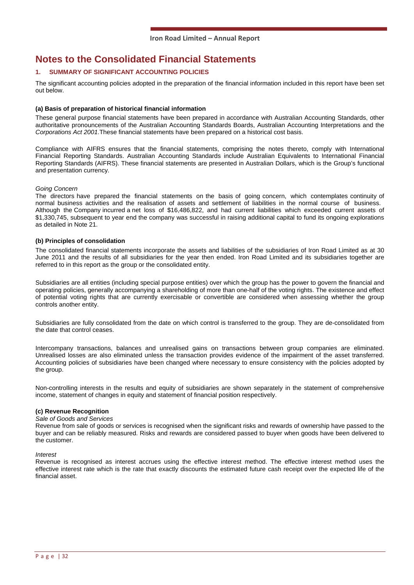## **Notes to the Consolidated Financial Statements**

## **1. SUMMARY OF SIGNIFICANT ACCOUNTING POLICIES**

The significant accounting policies adopted in the preparation of the financial information included in this report have been set out below.

#### **(a) Basis of preparation of historical financial information**

These general purpose financial statements have been prepared in accordance with Australian Accounting Standards, other authoritative pronouncements of the Australian Accounting Standards Boards, Australian Accounting Interpretations and the *Corporations Act 2001*.These financial statements have been prepared on a historical cost basis.

Compliance with AIFRS ensures that the financial statements, comprising the notes thereto, comply with International Financial Reporting Standards. Australian Accounting Standards include Australian Equivalents to International Financial Reporting Standards (AIFRS). These financial statements are presented in Australian Dollars, which is the Group's functional and presentation currency.

#### *Going Concern*

The directors have prepared the financial statements on the basis of going concern, which contemplates continuity of normal business activities and the realisation of assets and settlement of liabilities in the normal course of business. Although the Company incurred a net loss of \$16,486,822, and had current liabilities which exceeded current assets of \$1,330,745, subsequent to year end the company was successful in raising additional capital to fund its ongoing explorations as detailed in Note 21.

#### **(b) Principles of consolidation**

The consolidated financial statements incorporate the assets and liabilities of the subsidiaries of Iron Road Limited as at 30 June 2011 and the results of all subsidiaries for the year then ended. Iron Road Limited and its subsidiaries together are referred to in this report as the group or the consolidated entity.

Subsidiaries are all entities (including special purpose entities) over which the group has the power to govern the financial and operating policies, generally accompanying a shareholding of more than one-half of the voting rights. The existence and effect of potential voting rights that are currently exercisable or convertible are considered when assessing whether the group controls another entity.

Subsidiaries are fully consolidated from the date on which control is transferred to the group. They are de-consolidated from the date that control ceases.

Intercompany transactions, balances and unrealised gains on transactions between group companies are eliminated. Unrealised losses are also eliminated unless the transaction provides evidence of the impairment of the asset transferred. Accounting policies of subsidiaries have been changed where necessary to ensure consistency with the policies adopted by the group.

Non-controlling interests in the results and equity of subsidiaries are shown separately in the statement of comprehensive income, statement of changes in equity and statement of financial position respectively.

#### **(c) Revenue Recognition**

#### *Sale of Goods and Services*

Revenue from sale of goods or services is recognised when the significant risks and rewards of ownership have passed to the buyer and can be reliably measured. Risks and rewards are considered passed to buyer when goods have been delivered to the customer.

*Interest* 

Revenue is recognised as interest accrues using the effective interest method. The effective interest method uses the effective interest rate which is the rate that exactly discounts the estimated future cash receipt over the expected life of the financial asset.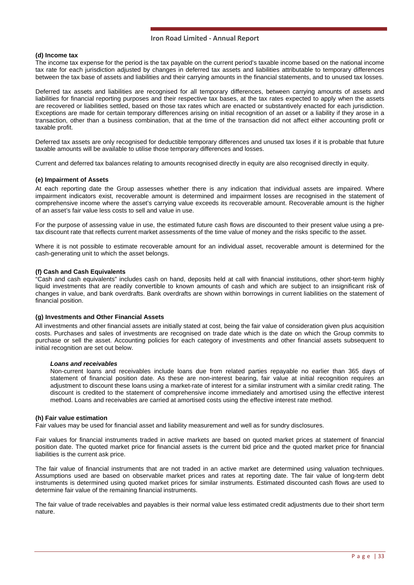#### **(d) Income tax**

The income tax expense for the period is the tax payable on the current period's taxable income based on the national income tax rate for each jurisdiction adjusted by changes in deferred tax assets and liabilities attributable to temporary differences between the tax base of assets and liabilities and their carrying amounts in the financial statements, and to unused tax losses.

Deferred tax assets and liabilities are recognised for all temporary differences, between carrying amounts of assets and liabilities for financial reporting purposes and their respective tax bases, at the tax rates expected to apply when the assets are recovered or liabilities settled, based on those tax rates which are enacted or substantively enacted for each jurisdiction. Exceptions are made for certain temporary differences arising on initial recognition of an asset or a liability if they arose in a transaction, other than a business combination, that at the time of the transaction did not affect either accounting profit or taxable profit.

Deferred tax assets are only recognised for deductible temporary differences and unused tax loses if it is probable that future taxable amounts will be available to utilise those temporary differences and losses.

Current and deferred tax balances relating to amounts recognised directly in equity are also recognised directly in equity.

#### **(e) Impairment of Assets**

At each reporting date the Group assesses whether there is any indication that individual assets are impaired. Where impairment indicators exist, recoverable amount is determined and impairment losses are recognised in the statement of comprehensive income where the asset's carrying value exceeds its recoverable amount. Recoverable amount is the higher of an asset's fair value less costs to sell and value in use.

For the purpose of assessing value in use, the estimated future cash flows are discounted to their present value using a pretax discount rate that reflects current market assessments of the time value of money and the risks specific to the asset.

Where it is not possible to estimate recoverable amount for an individual asset, recoverable amount is determined for the cash-generating unit to which the asset belongs.

#### **(f) Cash and Cash Equivalents**

"Cash and cash equivalents" includes cash on hand, deposits held at call with financial institutions, other short-term highly liquid investments that are readily convertible to known amounts of cash and which are subject to an insignificant risk of changes in value, and bank overdrafts. Bank overdrafts are shown within borrowings in current liabilities on the statement of financial position.

#### **(g) Investments and Other Financial Assets**

All investments and other financial assets are initially stated at cost, being the fair value of consideration given plus acquisition costs. Purchases and sales of investments are recognised on trade date which is the date on which the Group commits to purchase or sell the asset. Accounting policies for each category of investments and other financial assets subsequent to initial recognition are set out below.

#### *Loans and receivables*

Non-current loans and receivables include loans due from related parties repayable no earlier than 365 days of statement of financial position date. As these are non-interest bearing, fair value at initial recognition requires an adjustment to discount these loans using a market-rate of interest for a similar instrument with a similar credit rating. The discount is credited to the statement of comprehensive income immediately and amortised using the effective interest method. Loans and receivables are carried at amortised costs using the effective interest rate method.

#### **(h) Fair value estimation**

Fair values may be used for financial asset and liability measurement and well as for sundry disclosures.

Fair values for financial instruments traded in active markets are based on quoted market prices at statement of financial position date. The quoted market price for financial assets is the current bid price and the quoted market price for financial liabilities is the current ask price.

The fair value of financial instruments that are not traded in an active market are determined using valuation techniques. Assumptions used are based on observable market prices and rates at reporting date. The fair value of long-term debt instruments is determined using quoted market prices for similar instruments. Estimated discounted cash flows are used to determine fair value of the remaining financial instruments.

The fair value of trade receivables and payables is their normal value less estimated credit adjustments due to their short term nature.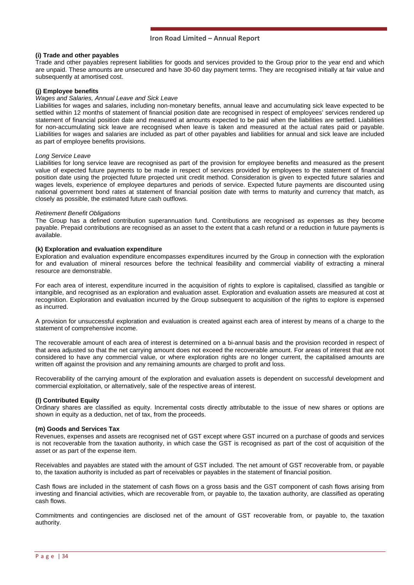#### **(i) Trade and other payables**

Trade and other payables represent liabilities for goods and services provided to the Group prior to the year end and which are unpaid. These amounts are unsecured and have 30-60 day payment terms. They are recognised initially at fair value and subsequently at amortised cost.

#### **(j) Employee benefits**

## *Wages and Salaries, Annual Leave and Sick Leave*

Liabilities for wages and salaries, including non-monetary benefits, annual leave and accumulating sick leave expected to be settled within 12 months of statement of financial position date are recognised in respect of employees' services rendered up statement of financial position date and measured at amounts expected to be paid when the liabilities are settled. Liabilities for non-accumulating sick leave are recognised when leave is taken and measured at the actual rates paid or payable. Liabilities for wages and salaries are included as part of other payables and liabilities for annual and sick leave are included as part of employee benefits provisions.

#### *Long Service Leave*

Liabilities for long service leave are recognised as part of the provision for employee benefits and measured as the present value of expected future payments to be made in respect of services provided by employees to the statement of financial position date using the projected future projected unit credit method. Consideration is given to expected future salaries and wages levels, experience of employee departures and periods of service. Expected future payments are discounted using national government bond rates at statement of financial position date with terms to maturity and currency that match, as closely as possible, the estimated future cash outflows.

#### *Retirement Benefit Obligations*

The Group has a defined contribution superannuation fund. Contributions are recognised as expenses as they become payable. Prepaid contributions are recognised as an asset to the extent that a cash refund or a reduction in future payments is available.

#### **(k) Exploration and evaluation expenditure**

Exploration and evaluation expenditure encompasses expenditures incurred by the Group in connection with the exploration for and evaluation of mineral resources before the technical feasibility and commercial viability of extracting a mineral resource are demonstrable.

For each area of interest, expenditure incurred in the acquisition of rights to explore is capitalised, classified as tangible or intangible, and recognised as an exploration and evaluation asset. Exploration and evaluation assets are measured at cost at recognition. Exploration and evaluation incurred by the Group subsequent to acquisition of the rights to explore is expensed as incurred.

A provision for unsuccessful exploration and evaluation is created against each area of interest by means of a charge to the statement of comprehensive income.

The recoverable amount of each area of interest is determined on a bi-annual basis and the provision recorded in respect of that area adjusted so that the net carrying amount does not exceed the recoverable amount. For areas of interest that are not considered to have any commercial value, or where exploration rights are no longer current, the capitalised amounts are written off against the provision and any remaining amounts are charged to profit and loss.

Recoverability of the carrying amount of the exploration and evaluation assets is dependent on successful development and commercial exploitation, or alternatively, sale of the respective areas of interest.

#### **(l) Contributed Equity**

Ordinary shares are classified as equity. Incremental costs directly attributable to the issue of new shares or options are shown in equity as a deduction, net of tax, from the proceeds.

#### **(m) Goods and Services Tax**

Revenues, expenses and assets are recognised net of GST except where GST incurred on a purchase of goods and services is not recoverable from the taxation authority, in which case the GST is recognised as part of the cost of acquisition of the asset or as part of the expense item.

Receivables and payables are stated with the amount of GST included. The net amount of GST recoverable from, or payable to, the taxation authority is included as part of receivables or payables in the statement of financial position.

Cash flows are included in the statement of cash flows on a gross basis and the GST component of cash flows arising from investing and financial activities, which are recoverable from, or payable to, the taxation authority, are classified as operating cash flows.

Commitments and contingencies are disclosed net of the amount of GST recoverable from, or payable to, the taxation authority.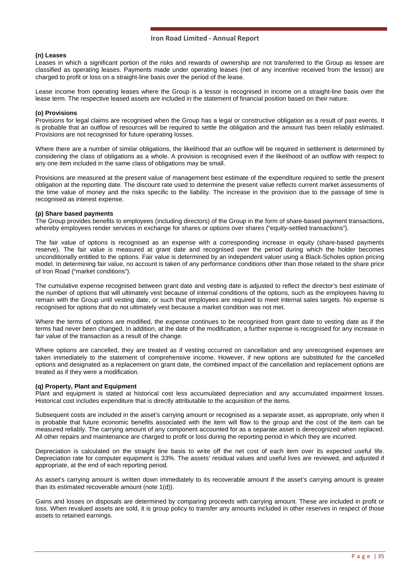#### **(n) Leases**

Leases in which a significant portion of the risks and rewards of ownership are not transferred to the Group as lessee are classified as operating leases. Payments made under operating leases (net of any incentive received from the lessor) are charged to profit or loss on a straight-line basis over the period of the lease.

Lease income from operating leases where the Group is a lessor is recognised in income on a straight-line basis over the lease term. The respective leased assets are included in the statement of financial position based on their nature.

#### **(o) Provisions**

Provisions for legal claims are recognised when the Group has a legal or constructive obligation as a result of past events. It is probable that an outflow of resources will be required to settle the obligation and the amount has been reliably estimated. Provisions are not recognised for future operating losses.

Where there are a number of similar obligations, the likelihood that an outflow will be required in settlement is determined by considering the class of obligations as a whole. A provision is recognised even if the likelihood of an outflow with respect to any one item included in the same class of obligations may be small.

Provisions are measured at the present value of management best estimate of the expenditure required to settle the present obligation at the reporting date. The discount rate used to determine the present value reflects current market assessments of the time value of money and the risks specific to the liability. The increase in the provision due to the passage of time is recognised as interest expense.

#### **(p) Share based payments**

The Group provides benefits to employees (including directors) of the Group in the form of share-based payment transactions, whereby employees render services in exchange for shares or options over shares ("equity-settled transactions").

The fair value of options is recognised as an expense with a corresponding increase in equity (share-based payments reserve). The fair value is measured at grant date and recognised over the period during which the holder becomes unconditionally entitled to the options. Fair value is determined by an independent valuer using a Black-Scholes option pricing model. In determining fair value, no account is taken of any performance conditions other than those related to the share price of Iron Road ("market conditions").

The cumulative expense recognised between grant date and vesting date is adjusted to reflect the director's best estimate of the number of options that will ultimately vest because of internal conditions of the options, such as the employees having to remain with the Group until vesting date, or such that employees are required to meet internal sales targets. No expense is recognised for options that do not ultimately vest because a market condition was not met.

Where the terms of options are modified, the expense continues to be recognised from grant date to vesting date as if the terms had never been changed. In addition, at the date of the modification, a further expense is recognised for any increase in fair value of the transaction as a result of the change.

Where options are cancelled, they are treated as if vesting occurred on cancellation and any unrecognised expenses are taken immediately to the statement of comprehensive income. However, if new options are substituted for the cancelled options and designated as a replacement on grant date, the combined impact of the cancellation and replacement options are treated as if they were a modification.

#### **(q) Property, Plant and Equipment**

Plant and equipment is stated at historical cost less accumulated depreciation and any accumulated impairment losses. Historical cost includes expenditure that is directly attributable to the acquisition of the items.

Subsequent costs are included in the asset's carrying amount or recognised as a separate asset, as appropriate, only when it is probable that future economic benefits associated with the item will flow to the group and the cost of the item can be measured reliably. The carrying amount of any component accounted for as a separate asset is derecognized when replaced. All other repairs and maintenance are charged to profit or loss during the reporting period in which they are incurred.

Depreciation is calculated on the straight line basis to write off the net cost of each item over its expected useful life. Depreciation rate for computer equipment is 33%. The assets' residual values and useful lives are reviewed, and adjusted if appropriate, at the end of each reporting period.

As asset's carrying amount is written down immediately to its recoverable amount if the asset's carrying amount is greater than its estimated recoverable amount (note 1(d)).

Gains and losses on disposals are determined by comparing proceeds with carrying amount. These are included in profit or loss. When revalued assets are sold, it is group policy to transfer any amounts included in other reserves in respect of those assets to retained earnings.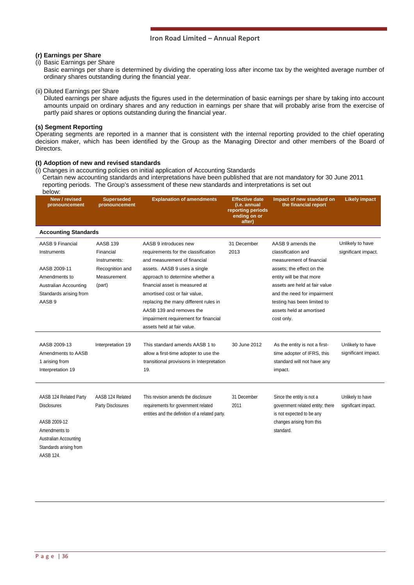### **(r) Earnings per Share**

#### (i) Basic Earnings per Share

 Basic earnings per share is determined by dividing the operating loss after income tax by the weighted average number of ordinary shares outstanding during the financial year.

#### (ii) Diluted Earnings per Share

 Diluted earnings per share adjusts the figures used in the determination of basic earnings per share by taking into account amounts unpaid on ordinary shares and any reduction in earnings per share that will probably arise from the exercise of partly paid shares or options outstanding during the financial year.

#### **(s) Segment Reporting**

Operating segments are reported in a manner that is consistent with the internal reporting provided to the chief operating decision maker, which has been identified by the Group as the Managing Director and other members of the Board of Directors.

#### **(t) Adoption of new and revised standards**

- (i) Changes in accounting policies on initial application of Accounting Standards
- Certain new accounting standards and interpretations have been published that are not mandatory for 30 June 2011 reporting periods. The Group's assessment of these new standards and interpretations is set out below:

| New / revised<br>pronouncement                                                                                                                | <b>Superseded</b><br>pronouncement               | <b>Explanation of amendments</b>                                                                                                                                                                                                                                              | <b>Effective date</b><br>(i.e. annual<br>reporting periods<br>ending on or<br>after) | Impact of new standard on<br>the financial report                                                                                                                                              | <b>Likely impact</b>                    |
|-----------------------------------------------------------------------------------------------------------------------------------------------|--------------------------------------------------|-------------------------------------------------------------------------------------------------------------------------------------------------------------------------------------------------------------------------------------------------------------------------------|--------------------------------------------------------------------------------------|------------------------------------------------------------------------------------------------------------------------------------------------------------------------------------------------|-----------------------------------------|
| <b>Accounting Standards</b>                                                                                                                   |                                                  |                                                                                                                                                                                                                                                                               |                                                                                      |                                                                                                                                                                                                |                                         |
| <b>AASB 9 Financial</b><br>Instruments                                                                                                        | AASB <sub>139</sub><br>Financial<br>Instruments: | AASB 9 introduces new<br>requirements for the classification<br>and measurement of financial                                                                                                                                                                                  | 31 December<br>2013                                                                  | AASB 9 amends the<br>classification and<br>measurement of financial                                                                                                                            | Unlikely to have<br>significant impact. |
| AASB 2009-11<br>Amendments to<br>Australian Accounting<br>Standards arising from<br>AASB <sub>9</sub>                                         | Recognition and<br>Measurement<br>(part)         | assets. AASB 9 uses a single<br>approach to determine whether a<br>financial asset is measured at<br>amortised cost or fair value,<br>replacing the many different rules in<br>AASB 139 and removes the<br>impairment requirement for financial<br>assets held at fair value. |                                                                                      | assets; the effect on the<br>entity will be that more<br>assets are held at fair value<br>and the need for impairment<br>testing has been limited to<br>assets held at amortised<br>cost only. |                                         |
| AASB 2009-13<br>Amendments to AASB<br>1 arising from<br>Interpretation 19                                                                     | Interpretation 19                                | This standard amends AASB 1 to<br>allow a first-time adopter to use the<br>transitional provisions in Interpretation<br>19.                                                                                                                                                   | 30 June 2012                                                                         | As the entity is not a first-<br>time adopter of IFRS, this<br>standard will not have any<br>impact.                                                                                           | Unlikely to have<br>significant impact. |
| AASB 124 Related Party<br><b>Disclosures</b><br>AASB 2009-12<br>Amendments to<br>Australian Accounting<br>Standards arising from<br>AASB 124. | AASB 124 Related<br>Party Disclosures            | This revision amends the disclosure<br>requirements for government related<br>entities and the definition of a related party.                                                                                                                                                 | 31 December<br>2011                                                                  | Since the entity is not a<br>government related entity; there<br>is not expected to be any<br>changes arising from this<br>standard.                                                           | Unlikely to have<br>significant impact. |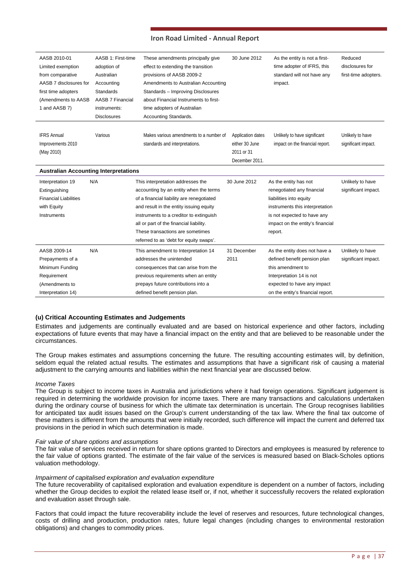| AASB 2010-01<br>Limited exemption<br>from comparative<br>AASB 7 disclosures for<br>first time adopters<br>(Amendments to AASB<br>1 and AASB 7) | AASB 1: First-time<br>adoption of<br>Australian<br>Accounting<br>Standards<br><b>AASB 7 Financial</b><br>instruments:<br><b>Disclosures</b> | These amendments principally give<br>effect to extending the transition<br>provisions of AASB 2009-2<br>Amendments to Australian Accounting<br>Standards - Improving Disclosures<br>about Financial Instruments to first-<br>time adopters of Australian<br>Accounting Standards.                                                        | 30 June 2012                                                        | As the entity is not a first-<br>time adopter of IFRS, this<br>standard will not have any<br>impact.                                                                                            | Reduced<br>disclosures for<br>first-time adopters. |
|------------------------------------------------------------------------------------------------------------------------------------------------|---------------------------------------------------------------------------------------------------------------------------------------------|------------------------------------------------------------------------------------------------------------------------------------------------------------------------------------------------------------------------------------------------------------------------------------------------------------------------------------------|---------------------------------------------------------------------|-------------------------------------------------------------------------------------------------------------------------------------------------------------------------------------------------|----------------------------------------------------|
| <b>IFRS Annual</b><br>Improvements 2010<br>(May 2010)                                                                                          | Various                                                                                                                                     | Makes various amendments to a number of<br>standards and interpretations.                                                                                                                                                                                                                                                                | Application dates<br>either 30 June<br>2011 or 31<br>December 2011. | Unlikely to have significant<br>impact on the financial report.                                                                                                                                 | Unlikely to have<br>significant impact.            |
| <b>Australian Accounting Interpretations</b>                                                                                                   |                                                                                                                                             |                                                                                                                                                                                                                                                                                                                                          |                                                                     |                                                                                                                                                                                                 |                                                    |
| Interpretation 19<br>Extinguishing<br><b>Financial Liabilities</b><br>with Equity<br>Instruments                                               | N/A                                                                                                                                         | This interpretation addresses the<br>accounting by an entity when the terms<br>of a financial liability are renegotiated<br>and result in the entity issuing equity<br>instruments to a creditor to extinguish<br>all or part of the financial liability.<br>These transactions are sometimes<br>referred to as 'debt for equity swaps'. | 30 June 2012                                                        | As the entity has not<br>renegotiated any financial<br>liabilities into equity<br>instruments this interpretation<br>is not expected to have any<br>impact on the entity's financial<br>report. | Unlikely to have<br>significant impact.            |
| AASB 2009-14<br>Prepayments of a<br>Minimum Funding<br>Requirement<br>(Amendments to<br>Interpretation 14)                                     | N/A                                                                                                                                         | This amendment to Interpretation 14<br>addresses the unintended<br>consequences that can arise from the<br>previous requirements when an entity<br>prepays future contributions into a<br>defined benefit pension plan.                                                                                                                  | 31 December<br>2011                                                 | As the entity does not have a<br>defined benefit pension plan<br>this amendment to<br>Interpretation 14 is not<br>expected to have any impact<br>on the entity's financial report.              | Unlikely to have<br>significant impact.            |

#### **(u) Critical Accounting Estimates and Judgements**

Estimates and judgements are continually evaluated and are based on historical experience and other factors, including expectations of future events that may have a financial impact on the entity and that are believed to be reasonable under the circumstances.

The Group makes estimates and assumptions concerning the future. The resulting accounting estimates will, by definition, seldom equal the related actual results. The estimates and assumptions that have a significant risk of causing a material adjustment to the carrying amounts and liabilities within the next financial year are discussed below.

#### *Income Taxes*

The Group is subject to income taxes in Australia and jurisdictions where it had foreign operations. Significant judgement is required in determining the worldwide provision for income taxes. There are many transactions and calculations undertaken during the ordinary course of business for which the ultimate tax determination is uncertain. The Group recognises liabilities for anticipated tax audit issues based on the Group's current understanding of the tax law. Where the final tax outcome of these matters is different from the amounts that were initially recorded, such difference will impact the current and deferred tax provisions in the period in which such determination is made.

#### *Fair value of share options and assumptions*

The fair value of services received in return for share options granted to Directors and employees is measured by reference to the fair value of options granted. The estimate of the fair value of the services is measured based on Black-Scholes options valuation methodology.

#### *Impairment of capitalised exploration and evaluation expenditure*

The future recoverability of capitalised exploration and evaluation expenditure is dependent on a number of factors, including whether the Group decides to exploit the related lease itself or, if not, whether it successfully recovers the related exploration and evaluation asset through sale.

Factors that could impact the future recoverability include the level of reserves and resources, future technological changes, costs of drilling and production, production rates, future legal changes (including changes to environmental restoration obligations) and changes to commodity prices.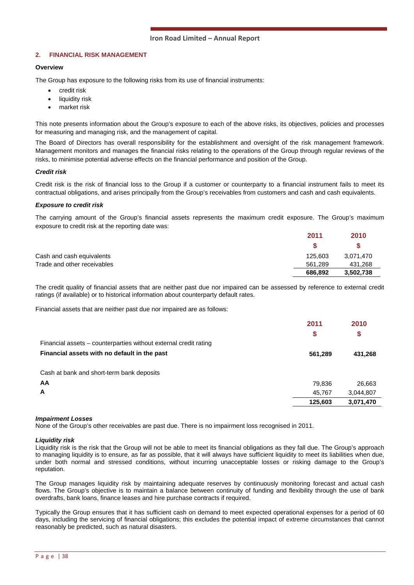#### **2. FINANCIAL RISK MANAGEMENT**

#### **Overview**

The Group has exposure to the following risks from its use of financial instruments:

- credit risk
- liquidity risk
- market risk

This note presents information about the Group's exposure to each of the above risks, its objectives, policies and processes for measuring and managing risk, and the management of capital.

The Board of Directors has overall responsibility for the establishment and oversight of the risk management framework. Management monitors and manages the financial risks relating to the operations of the Group through regular reviews of the risks, to minimise potential adverse effects on the financial performance and position of the Group.

#### *Credit risk*

Credit risk is the risk of financial loss to the Group if a customer or counterparty to a financial instrument fails to meet its contractual obligations, and arises principally from the Group's receivables from customers and cash and cash equivalents.

#### *Exposure to credit risk*

The carrying amount of the Group's financial assets represents the maximum credit exposure. The Group's maximum exposure to credit risk at the reporting date was:

|                             | 2011    | 2010      |
|-----------------------------|---------|-----------|
|                             |         | S         |
| Cash and cash equivalents   | 125,603 | 3.071.470 |
| Trade and other receivables | 561.289 | 431,268   |
|                             | 686,892 | 3,502,738 |

The credit quality of financial assets that are neither past due nor impaired can be assessed by reference to external credit ratings (if available) or to historical information about counterparty default rates.

Financial assets that are neither past due nor impaired are as follows:

|                                                                  | 2011    | 2010      |
|------------------------------------------------------------------|---------|-----------|
|                                                                  | \$      | \$        |
| Financial assets – counterparties without external credit rating |         |           |
| Financial assets with no default in the past                     | 561,289 | 431,268   |
| Cash at bank and short-term bank deposits                        |         |           |
| AA                                                               | 79,836  | 26,663    |
| A                                                                | 45,767  | 3,044,807 |
|                                                                  | 125,603 | 3,071,470 |

#### *Impairment Losses*

None of the Group's other receivables are past due. There is no impairment loss recognised in 2011.

#### *Liquidity risk*

Liquidity risk is the risk that the Group will not be able to meet its financial obligations as they fall due. The Group's approach to managing liquidity is to ensure, as far as possible, that it will always have sufficient liquidity to meet its liabilities when due, under both normal and stressed conditions, without incurring unacceptable losses or risking damage to the Group's reputation.

The Group manages liquidity risk by maintaining adequate reserves by continuously monitoring forecast and actual cash flows. The Group's objective is to maintain a balance between continuity of funding and flexibility through the use of bank overdrafts, bank loans, finance leases and hire purchase contracts if required.

Typically the Group ensures that it has sufficient cash on demand to meet expected operational expenses for a period of 60 days, including the servicing of financial obligations; this excludes the potential impact of extreme circumstances that cannot reasonably be predicted, such as natural disasters.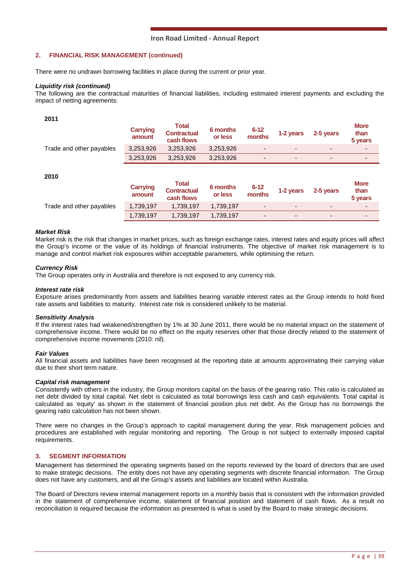#### **2. FINANCIAL RISK MANAGEMENT (continued)**

There were no undrawn borrowing facilities in place during the current or prior year.

#### *Liquidity risk (continued)*

The following are the contractual maturities of financial liabilities, including estimated interest payments and excluding the impact of netting agreements:

#### **2011**

|                          | <b>Carrying</b><br>amount | <b>Total</b><br><b>Contractual</b><br>cash flows | 6 months<br>or less | $6 - 12$<br>months       | 1-2 years                | 2-5 years | <b>More</b><br>than<br>5 years |
|--------------------------|---------------------------|--------------------------------------------------|---------------------|--------------------------|--------------------------|-----------|--------------------------------|
| Trade and other payables | 3,253,926                 | 3,253,926                                        | 3,253,926           | $\blacksquare$           | $\overline{a}$           | ٠         |                                |
|                          | 3,253,926                 | 3,253,926                                        | 3,253,926           |                          |                          |           |                                |
| 2010                     | <b>Carrying</b><br>amount | <b>Total</b><br><b>Contractual</b><br>cash flows | 6 months<br>or less | $6 - 12$<br>months       | 1-2 years                | 2-5 years | <b>More</b><br>than<br>5 years |
| Trade and other payables | 1,739,197                 | 1,739,197                                        | 1,739,197           | $\overline{\phantom{0}}$ |                          | -         |                                |
|                          | 1,739,197                 | 1.739.197                                        | 1,739,197           |                          | $\overline{\phantom{a}}$ | ۰         |                                |

#### *Market Risk*

Market risk is the risk that changes in market prices, such as foreign exchange rates, interest rates and equity prices will affect the Group's income or the value of its holdings of financial instruments. The objective of market risk management is to manage and control market risk exposures within acceptable parameters, while optimising the return.

#### *Currency Risk*

The Group operates only in Australia and therefore is not exposed to any currency risk.

#### *Interest rate risk*

Exposure arises predominantly from assets and liabilities bearing variable interest rates as the Group intends to hold fixed rate assets and liabilities to maturity. Interest rate risk is considered unlikely to be material.

#### *Sensitivity Analysis*

If the interest rates had weakened/strengthen by 1% at 30 June 2011, there would be no material impact on the statement of comprehensive income. There would be no effect on the equity reserves other that those directly related to the statement of comprehensive income movements (2010: nil).

#### *Fair Values*

All financial assets and liabilities have been recognised at the reporting date at amounts approximating their carrying value due to their short term nature.

#### *Capital risk management*

Consistently with others in the industry, the Group monitors capital on the basis of the gearing ratio. This ratio is calculated as net debt divided by total capital. Net debt is calculated as total borrowings less cash and cash equivalents. Total capital is calculated as 'equity' as shown in the statement of financial position plus net debt. As the Group has no borrowings the gearing ratio calculation has not been shown.

There were no changes in the Group's approach to capital management during the year. Risk management policies and procedures are established with regular monitoring and reporting. The Group is not subject to externally imposed capital requirements.

#### **3. SEGMENT INFORMATION**

Management has determined the operating segments based on the reports reviewed by the board of directors that are used to make strategic decisions. The entity does not have any operating segments with discrete financial information. The Group does not have any customers, and all the Group's assets and liabilities are located within Australia.

The Board of Directors review internal management reports on a monthly basis that is consistent with the information provided in the statement of comprehensive income, statement of financial position and statement of cash flows. As a result no reconciliation is required because the information as presented is what is used by the Board to make strategic decisions.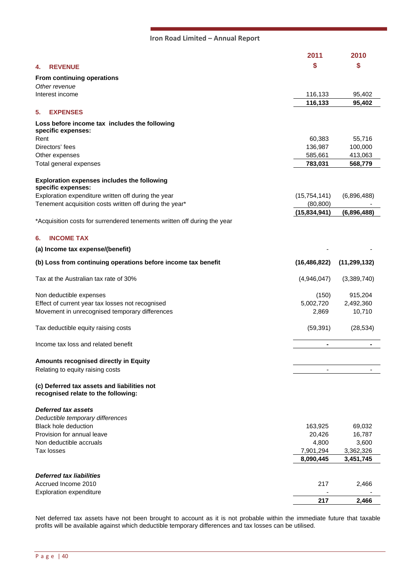|                                                                                    | 2011               | 2010               |
|------------------------------------------------------------------------------------|--------------------|--------------------|
| <b>REVENUE</b><br>4.                                                               | \$                 | \$                 |
| From continuing operations                                                         |                    |                    |
| Other revenue                                                                      |                    |                    |
| Interest income                                                                    | 116,133            | 95,402             |
|                                                                                    | 116,133            | 95,402             |
| 5.<br><b>EXPENSES</b>                                                              |                    |                    |
| Loss before income tax includes the following                                      |                    |                    |
| specific expenses:                                                                 |                    |                    |
| Rent                                                                               | 60,383             | 55,716             |
| Directors' fees<br>Other expenses                                                  | 136,987<br>585,661 | 100,000<br>413,063 |
| Total general expenses                                                             | 783,031            | 568,779            |
|                                                                                    |                    |                    |
| <b>Exploration expenses includes the following</b>                                 |                    |                    |
| specific expenses:                                                                 |                    |                    |
| Exploration expenditure written off during the year                                | (15, 754, 141)     | (6,896,488)        |
| Tenement acquisition costs written off during the year*                            | (80, 800)          |                    |
|                                                                                    | (15,834,941)       | (6,896,488)        |
| *Acquisition costs for surrendered tenements written off during the year           |                    |                    |
| <b>INCOME TAX</b><br>6.                                                            |                    |                    |
| (a) Income tax expense/(benefit)                                                   |                    |                    |
|                                                                                    |                    |                    |
| (b) Loss from continuing operations before income tax benefit                      | (16, 486, 822)     | (11, 299, 132)     |
| Tax at the Australian tax rate of 30%                                              | (4,946,047)        | (3,389,740)        |
| Non deductible expenses                                                            | (150)              | 915,204            |
| Effect of current year tax losses not recognised                                   | 5,002,720          | 2,492,360          |
| Movement in unrecognised temporary differences                                     | 2,869              | 10,710             |
|                                                                                    |                    |                    |
| Tax deductible equity raising costs                                                | (59, 391)          | (28, 534)          |
| Income tax loss and related benefit                                                |                    |                    |
|                                                                                    | $\blacksquare$     |                    |
| Amounts recognised directly in Equity                                              |                    |                    |
| Relating to equity raising costs                                                   |                    |                    |
|                                                                                    |                    |                    |
| (c) Deferred tax assets and liabilities not<br>recognised relate to the following: |                    |                    |
|                                                                                    |                    |                    |
| <b>Deferred tax assets</b><br>Deductible temporary differences                     |                    |                    |
| <b>Black hole deduction</b>                                                        | 163,925            | 69,032             |
| Provision for annual leave                                                         | 20,426             | 16,787             |
| Non deductible accruals                                                            | 4,800              | 3,600              |
| Tax losses                                                                         | 7,901,294          | 3,362,326          |
|                                                                                    | 8,090,445          | 3,451,745          |
|                                                                                    |                    |                    |
| Deferred tax liabilities                                                           |                    |                    |
| Accrued Income 2010<br><b>Exploration expenditure</b>                              | 217                | 2,466              |
|                                                                                    | 217                | 2,466              |
|                                                                                    |                    |                    |

Net deferred tax assets have not been brought to account as it is not probable within the immediate future that taxable profits will be available against which deductible temporary differences and tax losses can be utilised.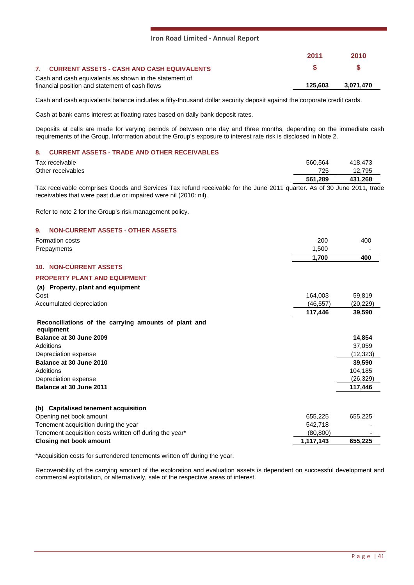|                                                                                                          | 2011    | 2010      |
|----------------------------------------------------------------------------------------------------------|---------|-----------|
| 7. CURRENT ASSETS - CASH AND CASH EQUIVALENTS                                                            |         |           |
| Cash and cash equivalents as shown in the statement of<br>financial position and statement of cash flows | 125.603 | 3.071.470 |

Cash and cash equivalents balance includes a fifty-thousand dollar security deposit against the corporate credit cards.

Cash at bank earns interest at floating rates based on daily bank deposit rates.

Deposits at calls are made for varying periods of between one day and three months, depending on the immediate cash requirements of the Group. Information about the Group's exposure to interest rate risk is disclosed in Note 2.

#### **8. CURRENT ASSETS - TRADE AND OTHER RECEIVABLES**

| $T_{\text{eff}}$ and the companies $\bigcap_{i=1}^n A_i$ and $\bigcap_{i=1}^n A_i$ and $\bigcap_{i=1}^n A_i$ and $\bigcap_{i=1}^n A_i$ and $\bigcap_{i=1}^n A_i$ and $\bigcap_{i=1}^n A_i$ |         |         |
|--------------------------------------------------------------------------------------------------------------------------------------------------------------------------------------------|---------|---------|
|                                                                                                                                                                                            | 561.289 | 431.268 |
| Other receivables                                                                                                                                                                          | 725     | 12.795  |
| Tax receivable                                                                                                                                                                             | 560.564 | 418.473 |
|                                                                                                                                                                                            |         |         |

Tax receivable comprises Goods and Services Tax refund receivable for the June 2011 quarter. As of 30 June 2011, trade receivables that were past due or impaired were nil (2010: nil).

Refer to note 2 for the Group's risk management policy.

### **9. NON-CURRENT ASSETS - OTHER ASSETS**

| <b>Formation costs</b>                                            | 200       | 400       |
|-------------------------------------------------------------------|-----------|-----------|
| Prepayments                                                       | 1.500     |           |
|                                                                   | 1.700     | 400       |
| <b>10. NON-CURRENT ASSETS</b>                                     |           |           |
| <b>PROPERTY PLANT AND EQUIPMENT</b>                               |           |           |
| (a) Property, plant and equipment                                 |           |           |
| Cost                                                              | 164,003   | 59,819    |
| Accumulated depreciation                                          | (46, 557) | (20,229)  |
|                                                                   | 117,446   | 39,590    |
| Reconciliations of the carrying amounts of plant and<br>equipment |           |           |
| Balance at 30 June 2009                                           |           | 14,854    |
| Additions                                                         |           | 37,059    |
| Depreciation expense                                              |           | (12, 323) |
| Balance at 30 June 2010                                           |           | 39,590    |
| Additions                                                         |           | 104,185   |
| Depreciation expense                                              |           | (26, 329) |
| Balance at 30 June 2011                                           |           | 117,446   |
| (b) Capitalised tenement acquisition                              |           |           |
| Opening net book amount                                           | 655,225   | 655,225   |
| Tenement acquisition during the year                              | 542,718   |           |
| Tenement acquisition costs written off during the year*           | (80, 800) |           |
| <b>Closing net book amount</b>                                    | 1,117,143 | 655,225   |

\*Acquisition costs for surrendered tenements written off during the year.

Recoverability of the carrying amount of the exploration and evaluation assets is dependent on successful development and commercial exploitation, or alternatively, sale of the respective areas of interest.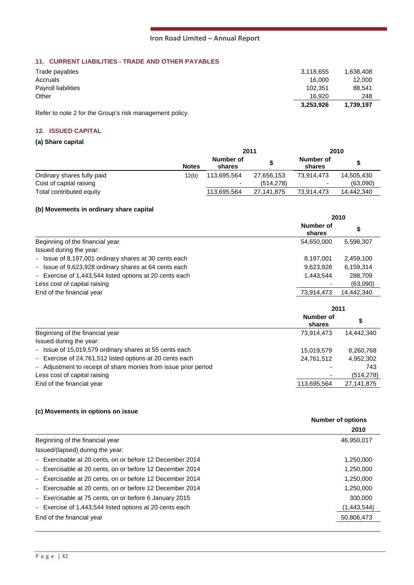## **11. CURRENT LIABILITIES - TRADE AND OTHER PAYABLES**

| Trade payables      | 3,118,655 | 1,638,408 |
|---------------------|-----------|-----------|
| Accruals            | 16,000    | 12.000    |
| Payroll liabilities | 102.351   | 88,541    |
| Other               | 16.920    | 248       |
|                     | 3,253,926 | 1,739,197 |

Refer to note 2 for the Group's risk management policy.

## **12. ISSUED CAPITAL**

## **(a) Share capital**

| 2011         |                     |            | 2010                     |            |  |
|--------------|---------------------|------------|--------------------------|------------|--|
| <b>Notes</b> | Number of<br>shares |            | Number of<br>shares      | \$         |  |
| 12(b)        | 113,695,564         | 27,656,153 | 73.914.473               | 14,505,430 |  |
|              | ۰                   | (514.278)  | $\overline{\phantom{0}}$ | (63.090)   |  |
|              | 113,695,564         | 27,141,875 | 73.914.473               | 14,442,340 |  |
|              |                     |            |                          |            |  |

## **(b) Movements in ordinary share capital**

|                                                         | 2010                |            |
|---------------------------------------------------------|---------------------|------------|
|                                                         | Number of<br>shares | \$         |
| Beginning of the financial year                         | 54,650,000          | 5,598,307  |
| Issued during the year:                                 |                     |            |
| $-$ Issue of 8,197,001 ordinary shares at 30 cents each | 8,197,001           | 2,459,100  |
| $-$ Issue of 9,623,928 ordinary shares at 64 cents each | 9,623,928           | 6,159,314  |
| - Exercise of 1,443,544 listed options at 20 cents each | 1,443,544           | 288.709    |
| Less cost of capital raising                            |                     | (63,090)   |
| End of the financial year                               | 73,914,473          | 14,442,340 |
|                                                         |                     |            |

|                                                                 | 2011                |            |
|-----------------------------------------------------------------|---------------------|------------|
|                                                                 | Number of<br>shares | \$         |
| Beginning of the financial year                                 | 73,914,473          | 14.442.340 |
| Issued during the year:                                         |                     |            |
| - Issue of 15,019,579 ordinary shares at 55 cents each          | 15,019,579          | 8,260,768  |
| - Exercise of 24,761,512 listed options at 20 cents each        | 24,761,512          | 4,952,302  |
| - Adjustment to receipt of share monies from issue prior period |                     | 743        |
| Less cost of capital raising                                    |                     | (514, 278) |
| End of the financial year                                       | 113,695,564         | 27,141,875 |
|                                                                 |                     |            |

## **(c) Movements in options on issue**

|                                                          | <b>Number of options</b> |
|----------------------------------------------------------|--------------------------|
|                                                          | 2010                     |
| Beginning of the financial year                          | 46,950,017               |
| Issued/(lapsed) during the year:                         |                          |
| - Exercisable at 20 cents, on or before 12 December 2014 | 1,250,000                |
| - Exercisable at 20 cents, on or before 12 December 2014 | 1,250,000                |
| - Exercisable at 20 cents, on or before 12 December 2014 | 1,250,000                |
| - Exercisable at 20 cents, on or before 12 December 2014 | 1,250,000                |
| - Exercisable at 75 cents, on or before 6 January 2015   | 300,000                  |
| - Exercise of 1,443,544 listed options at 20 cents each  | (1,443,544)              |
| End of the financial year                                | 50,806,473               |
|                                                          |                          |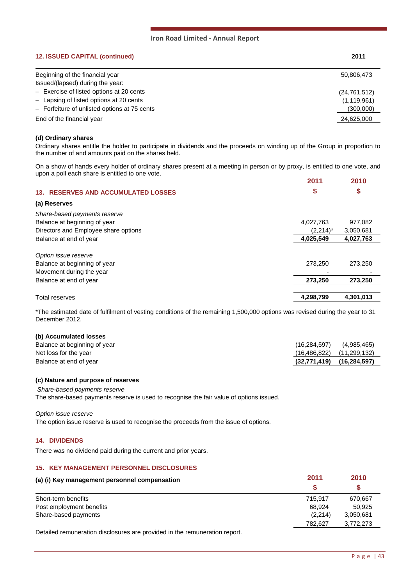| <b>12. ISSUED CAPITAL (continued)</b>        | 2011           |
|----------------------------------------------|----------------|
| Beginning of the financial year              | 50,806,473     |
| Issued/(lapsed) during the year:             |                |
| - Exercise of listed options at 20 cents     | (24, 761, 512) |
| - Lapsing of listed options at 20 cents      | (1, 119, 961)  |
| - Forfeiture of unlisted options at 75 cents | (300,000)      |
| End of the financial year                    | 24,625,000     |
|                                              |                |

#### **(d) Ordinary shares**

Ordinary shares entitle the holder to participate in dividends and the proceeds on winding up of the Group in proportion to the number of and amounts paid on the shares held.

On a show of hands every holder of ordinary shares present at a meeting in person or by proxy, is entitled to one vote, and upon a poll each share is entitled to one vote.

|                                      | 2011        | 2010      |
|--------------------------------------|-------------|-----------|
| 13. RESERVES AND ACCUMULATED LOSSES  | \$          | \$        |
| (a) Reserves                         |             |           |
| Share-based payments reserve         |             |           |
| Balance at beginning of year         | 4,027,763   | 977,082   |
| Directors and Employee share options | $(2,214)^*$ | 3,050,681 |
| Balance at end of year               | 4,025,549   | 4,027,763 |
| Option issue reserve                 |             |           |
| Balance at beginning of year         | 273,250     | 273,250   |
| Movement during the year             |             |           |
| Balance at end of year               | 273,250     | 273,250   |
| Total reserves                       | 4,298,799   | 4,301,013 |

\*The estimated date of fulfilment of vesting conditions of the remaining 1,500,000 options was revised during the year to 31 December 2012.

#### **(b) Accumulated losses**

| Balance at beginning of year | (16, 284, 597)                | (4,985,465) |
|------------------------------|-------------------------------|-------------|
| Net loss for the year        | $(16,486,822)$ $(11,299,132)$ |             |
| Balance at end of year       | (32,771,419) (16,284,597)     |             |

#### **(c) Nature and purpose of reserves**

#### *Share-based payments reserve*

The share-based payments reserve is used to recognise the fair value of options issued.

#### *Option issue reserve*

The option issue reserve is used to recognise the proceeds from the issue of options.

#### **14. DIVIDENDS**

There was no dividend paid during the current and prior years.

#### **15. KEY MANAGEMENT PERSONNEL DISCLOSURES**

| (a) (i) Key management personnel compensation | 2011    | 2010      |
|-----------------------------------------------|---------|-----------|
|                                               |         |           |
| Short-term benefits                           | 715.917 | 670.667   |
| Post employment benefits                      | 68.924  | 50.925    |
| Share-based payments                          | (2,214) | 3,050,681 |
|                                               | 782.627 | 3,772,273 |
|                                               |         |           |

Detailed remuneration disclosures are provided in the remuneration report.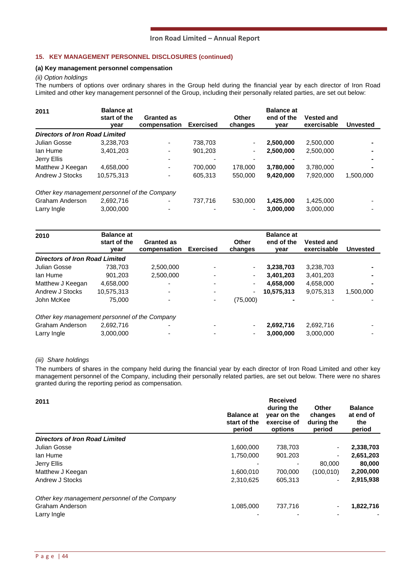## **15. KEY MANAGEMENT PERSONNEL DISCLOSURES (continued)**

#### **(a) Key management personnel compensation**

#### *(ii) Option holdings*

The numbers of options over ordinary shares in the Group held during the financial year by each director of Iron Road Limited and other key management personnel of the Group, including their personally related parties, are set out below:

| 2011                                          | <b>Balance at</b><br>start of the<br>vear | <b>Granted as</b><br>compensation | <b>Exercised</b> | Other<br>changes         | <b>Balance at</b><br>end of the<br>vear | <b>Vested and</b><br>exercisable | <b>Unvested</b> |
|-----------------------------------------------|-------------------------------------------|-----------------------------------|------------------|--------------------------|-----------------------------------------|----------------------------------|-----------------|
| <b>Directors of Iron Road Limited</b>         |                                           |                                   |                  |                          |                                         |                                  |                 |
| Julian Gosse                                  | 3,238,703                                 |                                   | 738.703          | ٠                        | 2,500,000                               | 2,500,000                        |                 |
| lan Hume                                      | 3.401.203                                 |                                   | 901.203          | $\overline{\phantom{a}}$ | 2,500,000                               | 2.500.000                        |                 |
| Jerry Ellis                                   |                                           |                                   |                  |                          |                                         |                                  |                 |
| Matthew J Keegan                              | 4.658.000                                 |                                   | 700.000          | 178,000                  | 3.780.000                               | 3,780,000                        |                 |
| Andrew J Stocks                               | 10,575,313                                |                                   | 605.313          | 550,000                  | 9,420,000                               | 7.920.000                        | 1.500.000       |
| Other key management personnel of the Company |                                           |                                   |                  |                          |                                         |                                  |                 |
| Graham Anderson                               | 2.692.716                                 |                                   | 737.716          | 530,000                  | 1.425.000                               | 1,425,000                        |                 |
| Larry Ingle                                   | 3,000,000                                 |                                   |                  |                          | 3,000,000                               | 3.000.000                        |                 |

| 2010                                          | <b>Balance at</b><br>start of the<br>year | <b>Granted as</b><br>compensation | <b>Exercised</b> | Other<br>changes         | <b>Balance at</b><br>end of the<br>year | <b>Vested and</b><br>exercisable | <b>Unvested</b> |
|-----------------------------------------------|-------------------------------------------|-----------------------------------|------------------|--------------------------|-----------------------------------------|----------------------------------|-----------------|
| <b>Directors of Iron Road Limited</b>         |                                           |                                   |                  |                          |                                         |                                  |                 |
| <b>Julian Gosse</b>                           | 738,703                                   | 2,500,000                         |                  | -                        | 3,238,703                               | 3,238,703                        |                 |
| lan Hume                                      | 901.203                                   | 2,500,000                         |                  | $\overline{\phantom{a}}$ | 3.401.203                               | 3,401,203                        |                 |
| Matthew J Keegan                              | 4.658.000                                 |                                   |                  | ٠                        | 4,658,000                               | 4,658,000                        |                 |
| Andrew J Stocks                               | 10,575,313                                |                                   |                  | ٠                        | 10.575.313                              | 9.075.313                        | 1.500.000       |
| John McKee                                    | 75,000                                    |                                   |                  | (75,000)                 |                                         |                                  |                 |
| Other key management personnel of the Company |                                           |                                   |                  |                          |                                         |                                  |                 |
| Graham Anderson                               | 2,692,716                                 |                                   |                  | ٠                        | 2,692,716                               | 2,692,716                        |                 |
| Larry Ingle                                   | 3.000.000                                 |                                   |                  | ۰                        | 3,000,000                               | 3,000,000                        |                 |

#### *(iii) Share holdings*

The numbers of shares in the company held during the financial year by each director of Iron Road Limited and other key management personnel of the Company, including their personally related parties, are set out below. There were no shares granted during the reporting period as compensation.

| 2011                                          | <b>Balance at</b><br>start of the<br>period | <b>Received</b><br>during the<br>year on the<br>exercise of<br>options | <b>Other</b><br>changes<br>during the<br>period | <b>Balance</b><br>at end of<br>the<br>period |
|-----------------------------------------------|---------------------------------------------|------------------------------------------------------------------------|-------------------------------------------------|----------------------------------------------|
| <b>Directors of Iron Road Limited</b>         |                                             |                                                                        |                                                 |                                              |
| Julian Gosse                                  | 1,600,000                                   | 738,703                                                                | $\overline{\phantom{0}}$                        | 2,338,703                                    |
| lan Hume                                      | 1,750,000                                   | 901.203                                                                | $\overline{\phantom{0}}$                        | 2,651,203                                    |
| Jerry Ellis                                   |                                             |                                                                        | 80,000                                          | 80,000                                       |
| Matthew J Keegan                              | 1,600,010                                   | 700,000                                                                | (100, 010)                                      | 2,200,000                                    |
| Andrew J Stocks                               | 2.310.625                                   | 605.313                                                                | ٠                                               | 2,915,938                                    |
| Other key management personnel of the Company |                                             |                                                                        |                                                 |                                              |
| Graham Anderson                               | 1,085,000                                   | 737.716                                                                |                                                 | 1,822,716                                    |
| Larry Ingle                                   |                                             |                                                                        |                                                 |                                              |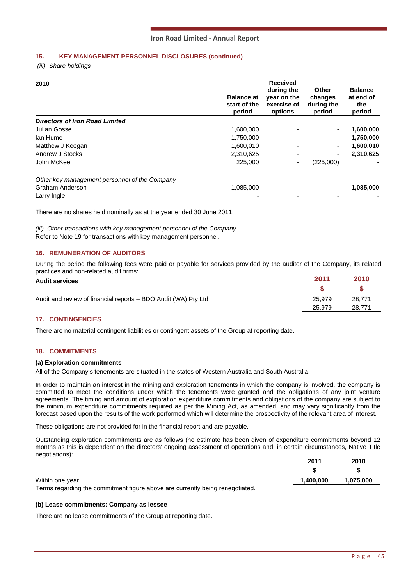### **15. KEY MANAGEMENT PERSONNEL DISCLOSURES (continued)**

 *(iii) Share holdings* 

## **2010**

| 2010                                          | <b>Balance at</b><br>start of the<br>period | <b>Received</b><br>during the<br>year on the<br>exercise of<br>options | Other<br>changes<br>during the<br>period | <b>Balance</b><br>at end of<br>the<br>period |
|-----------------------------------------------|---------------------------------------------|------------------------------------------------------------------------|------------------------------------------|----------------------------------------------|
| <b>Directors of Iron Road Limited</b>         |                                             |                                                                        |                                          |                                              |
| <b>Julian Gosse</b>                           | 1,600,000                                   |                                                                        | ۰                                        | 1,600,000                                    |
| lan Hume                                      | 1,750,000                                   |                                                                        | ۰                                        | 1,750,000                                    |
| Matthew J Keegan                              | 1,600,010                                   |                                                                        | ۰                                        | 1,600,010                                    |
| Andrew J Stocks                               | 2,310,625                                   |                                                                        | $\overline{\phantom{a}}$                 | 2,310,625                                    |
| John McKee                                    | 225,000                                     |                                                                        | (225,000)                                |                                              |
| Other key management personnel of the Company |                                             |                                                                        |                                          |                                              |
| <b>Graham Anderson</b>                        | 1,085,000                                   |                                                                        |                                          | 1,085,000                                    |
| Larry Ingle                                   |                                             |                                                                        |                                          |                                              |

There are no shares held nominally as at the year ended 30 June 2011.

*(iii) Other transactions with key management personnel of the Company* Refer to Note 19 for transactions with key management personnel.

#### **16. REMUNERATION OF AUDITORS**

During the period the following fees were paid or payable for services provided by the auditor of the Company, its related practices and non-related audit firms:

| <b>Audit services</b>                                          | 2011   | 2010   |
|----------------------------------------------------------------|--------|--------|
|                                                                |        |        |
| Audit and review of financial reports – BDO Audit (WA) Pty Ltd | 25.979 | 28.771 |
|                                                                | 25,979 | 28.771 |
|                                                                |        |        |

### **17. CONTINGENCIES**

There are no material contingent liabilities or contingent assets of the Group at reporting date.

#### **18. COMMITMENTS**

#### **(a) Exploration commitments**

All of the Company's tenements are situated in the states of Western Australia and South Australia.

In order to maintain an interest in the mining and exploration tenements in which the company is involved, the company is committed to meet the conditions under which the tenements were granted and the obligations of any joint venture agreements. The timing and amount of exploration expenditure commitments and obligations of the company are subject to the minimum expenditure commitments required as per the Mining Act, as amended, and may vary significantly from the forecast based upon the results of the work performed which will determine the prospectivity of the relevant area of interest.

These obligations are not provided for in the financial report and are payable.

Outstanding exploration commitments are as follows (no estimate has been given of expenditure commitments beyond 12 months as this is dependent on the directors' ongoing assessment of operations and, in certain circumstances, Native Title negotiations):

|                                                                               | 2011      | 2010      |
|-------------------------------------------------------------------------------|-----------|-----------|
|                                                                               |           |           |
| Within one year                                                               | 1.400.000 | 1.075.000 |
| Terms regarding the commitment figure above are currently being renegotiated. |           |           |

#### **(b) Lease commitments: Company as lessee**

There are no lease commitments of the Group at reporting date.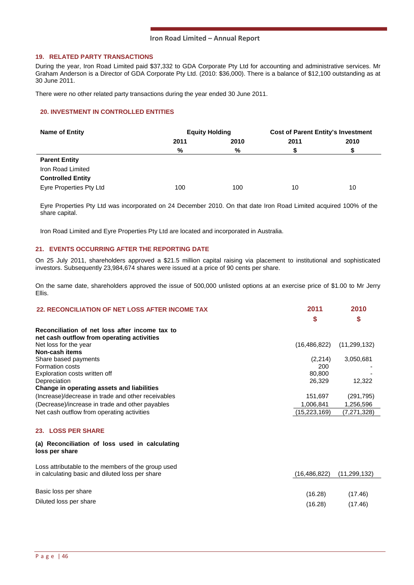## **19. RELATED PARTY TRANSACTIONS**

During the year, Iron Road Limited paid \$37,332 to GDA Corporate Pty Ltd for accounting and administrative services. Mr Graham Anderson is a Director of GDA Corporate Pty Ltd. (2010: \$36,000). There is a balance of \$12,100 outstanding as at 30 June 2011.

There were no other related party transactions during the year ended 30 June 2011.

## **20. INVESTMENT IN CONTROLLED ENTITIES**

| Name of Entity           | <b>Equity Holding</b> |      | <b>Cost of Parent Entity's Investment</b> |      |
|--------------------------|-----------------------|------|-------------------------------------------|------|
|                          | 2011                  | 2010 | 2011                                      | 2010 |
|                          | %                     | %    |                                           |      |
| <b>Parent Entity</b>     |                       |      |                                           |      |
| Iron Road Limited        |                       |      |                                           |      |
| <b>Controlled Entity</b> |                       |      |                                           |      |
| Eyre Properties Pty Ltd  | 100                   | 100  | 10                                        | 10   |

Eyre Properties Pty Ltd was incorporated on 24 December 2010. On that date Iron Road Limited acquired 100% of the share capital.

Iron Road Limited and Eyre Properties Pty Ltd are located and incorporated in Australia.

#### **21. EVENTS OCCURRING AFTER THE REPORTING DATE**

On 25 July 2011, shareholders approved a \$21.5 million capital raising via placement to institutional and sophisticated investors. Subsequently 23,984,674 shares were issued at a price of 90 cents per share.

On the same date, shareholders approved the issue of 500,000 unlisted options at an exercise price of \$1.00 to Mr Jerry Ellis.

| <b>22. RECONCILIATION OF NET LOSS AFTER INCOME TAX</b>           | 2011           | 2010           |  |
|------------------------------------------------------------------|----------------|----------------|--|
|                                                                  | \$             | \$             |  |
| Reconciliation of net loss after income tax to                   |                |                |  |
| net cash outflow from operating activities                       |                |                |  |
| Net loss for the year                                            | (16, 486, 822) | (11, 299, 132) |  |
| Non-cash items                                                   |                |                |  |
| Share based payments                                             | (2, 214)       | 3,050,681      |  |
| Formation costs                                                  | 200            |                |  |
| Exploration costs written off                                    | 80.800         |                |  |
| Depreciation                                                     | 26,329         | 12,322         |  |
| Change in operating assets and liabilities                       |                |                |  |
| (Increase)/decrease in trade and other receivables               | 151,697        | (291, 795)     |  |
| (Decrease)/increase in trade and other payables                  | 1,006,841      | 1,256,596      |  |
| Net cash outflow from operating activities                       | (15, 223, 169) | (7, 271, 328)  |  |
| 23. LOSS PER SHARE                                               |                |                |  |
| (a) Reconciliation of loss used in calculating<br>loss per share |                |                |  |
| Loss attributable to the members of the group used               |                |                |  |
| in calculating basic and diluted loss per share                  | (16, 486, 822) | (11, 299, 132) |  |
| Basic loss per share                                             | (16.28)        | (17.46)        |  |
| Diluted loss per share                                           |                |                |  |
|                                                                  | (16.28)        | (17.46)        |  |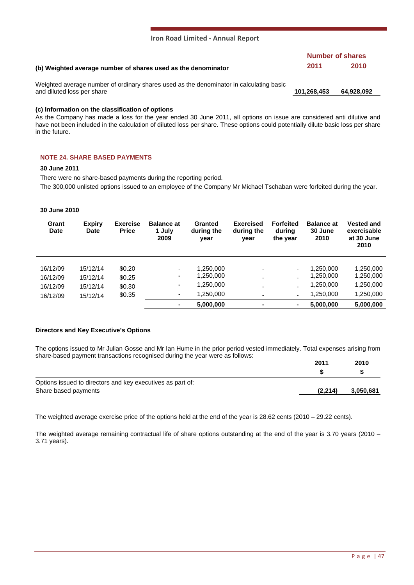The weighted average remaining contractual life of share options outstanding at the end of the year is 3.70 years (2010 – 3.71 years).

| Options issued to directors and key executives as part of: |         |           |
|------------------------------------------------------------|---------|-----------|
| Share based payments                                       | (2,214) | 3,050,681 |
|                                                            |         |           |

The weighted average exercise price of the options held at the end of the year is 28.62 cents (2010 – 29.22 cents).

## **Directors and Key Executive's Options**

| Directors and Key Executive's Options                                                                                                                                                                     |      |      |
|-----------------------------------------------------------------------------------------------------------------------------------------------------------------------------------------------------------|------|------|
| The options issued to Mr Julian Gosse and Mr Ian Hume in the prior period vested immediately. Total expenses arising from<br>share-based payment transactions recognised during the year were as follows: |      |      |
|                                                                                                                                                                                                           | 2011 | 2010 |

16/12/09 15/12/14 \$0.25 **-** 1,250,000 - - 1,250,000 1,250,000 16/12/09 15/12/14 \$0.30 **-** 1,250,000 - - 1,250,000 1,250,000 16/12/09 15/12/14 \$0.35 **-** 1,250,000 - - 1,250,000 1,250,000

**year year the year**  16/12/09 15/12/14 \$0.20 - 1,250,000 - - 1,250,000 1,250,000

**Balance at 1 July 2009** 

## **30 June 2010 Grant**

**Date** 

**30 June 2011** 

and diluted loss per share **101,268,453 64,928,092 (c) Information on the classification of options** 

Weighted average number of ordinary shares used as the denominator in calculating basic

As the Company has made a loss for the year ended 30 June 2011, all options on issue are considered anti dilutive and have not been included in the calculation of diluted loss per share. These options could potentially dilute basic loss per share in the future.

The 300,000 unlisted options issued to an employee of the Company Mr Michael Tschaban were forfeited during the year.

**Granted during the**  **Exercised during the**  **Forfeited during** 

**- 5,000,000 - - 5,000,000 5,000,000** 

**Balance at 30 June 2010** 

**Vested and exercisable at 30 June 2010** 

There were no share-based payments during the reporting period.

**Exercise Price** 

**NOTE 24. SHARE BASED PAYMENTS**

**Expiry Date** 

**(b) Weighted average number of shares used as the denominator 2011 2010** 

**Iron Road Limited ‐ Annual Report**

# **Number of shares**

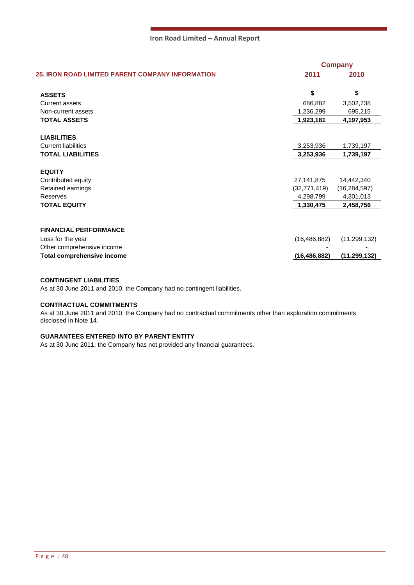| <b>Company</b><br><b>25. IRON ROAD LIMITED PARENT COMPANY INFORMATION</b><br>2011<br>2010 |                                           |
|-------------------------------------------------------------------------------------------|-------------------------------------------|
|                                                                                           |                                           |
| 686,882                                                                                   | 3,502,738                                 |
| 1,236,299                                                                                 | 695,215                                   |
| 1,923,181                                                                                 | 4,197,953                                 |
|                                                                                           |                                           |
| 3,253,936                                                                                 | 1,739,197                                 |
| 3,253,936                                                                                 | 1,739,197                                 |
| 27, 141, 875<br>(32, 771, 419)                                                            | 14,442,340<br>(16, 284, 597)<br>4,301,013 |
|                                                                                           | 2,458,756                                 |
| (16, 486, 882)                                                                            | (11, 299, 132)                            |
| (16, 486, 882)                                                                            | (11, 299, 132)                            |
|                                                                                           | 4,298,799<br>1,330,475                    |

## **CONTINGENT LIABILITIES**

As at 30 June 2011 and 2010, the Company had no contingent liabilities.

## **CONTRACTUAL COMMITMENTS**

As at 30 June 2011 and 2010, the Company had no contractual commitments other than exploration commitments disclosed in Note 14.

#### **GUARANTEES ENTERED INTO BY PARENT ENTITY**

As at 30 June 2011, the Company has not provided any financial guarantees.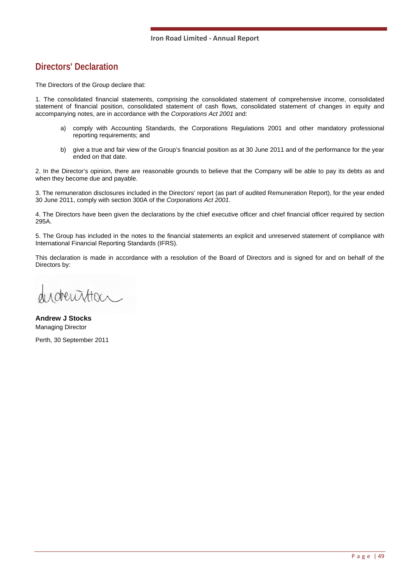## **Directors' Declaration**

The Directors of the Group declare that:

1. The consolidated financial statements, comprising the consolidated statement of comprehensive income, consolidated statement of financial position, consolidated statement of cash flows, consolidated statement of changes in equity and accompanying notes, are in accordance with the *Corporations Act 2001* and:

- a) comply with Accounting Standards, the Corporations Regulations 2001 and other mandatory professional reporting requirements; and
- b) give a true and fair view of the Group's financial position as at 30 June 2011 and of the performance for the year ended on that date.

2. In the Director's opinion, there are reasonable grounds to believe that the Company will be able to pay its debts as and when they become due and payable.

3. The remuneration disclosures included in the Directors' report (as part of audited Remuneration Report), for the year ended 30 June 2011, comply with section 300A of the *Corporations Act 2001*.

4. The Directors have been given the declarations by the chief executive officer and chief financial officer required by section 295A.

5. The Group has included in the notes to the financial statements an explicit and unreserved statement of compliance with International Financial Reporting Standards (IFRS).

This declaration is made in accordance with a resolution of the Board of Directors and is signed for and on behalf of the Directors by:

rdrewitter

**Andrew J Stocks**  Managing Director

Perth, 30 September 2011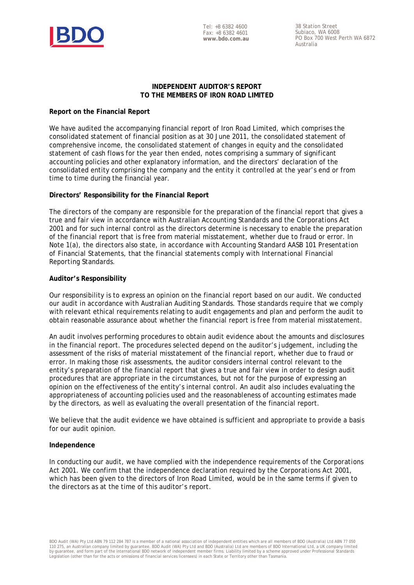

Tel: +8 6382 4600 Fax: +8 6382 4601 **www.bdo.com.au**  38 Station Street Subiaco, WA 6008 PO Box 700 West Perth WA 6872 Australia

## **INDEPENDENT AUDITOR'S REPORT TO THE MEMBERS OF IRON ROAD LIMITED**

## **Report on the Financial Report**

We have audited the accompanying financial report of Iron Road Limited, which comprises the consolidated statement of financial position as at 30 June 2011, the consolidated statement of comprehensive income, the consolidated statement of changes in equity and the consolidated statement of cash flows for the year then ended, notes comprising a summary of significant accounting policies and other explanatory information, and the directors' declaration of the consolidated entity comprising the company and the entity it controlled at the year's end or from time to time during the financial year.

## **Directors' Responsibility for the Financial Report**

The directors of the company are responsible for the preparation of the financial report that gives a true and fair view in accordance with Australian Accounting Standards and the *Corporations Act 2001* and for such internal control as the directors determine is necessary to enable the preparation of the financial report that is free from material misstatement, whether due to fraud or error. In Note 1(a), the directors also state, in accordance with Accounting Standard AASB 101 *Presentation of Financial Statements*, that the financial statements comply with *International Financial Reporting Standards*.

## **Auditor's Responsibility**

Our responsibility is to express an opinion on the financial report based on our audit. We conducted our audit in accordance with Australian Auditing Standards. Those standards require that we comply with relevant ethical requirements relating to audit engagements and plan and perform the audit to obtain reasonable assurance about whether the financial report is free from material misstatement.

An audit involves performing procedures to obtain audit evidence about the amounts and disclosures in the financial report. The procedures selected depend on the auditor's judgement, including the assessment of the risks of material misstatement of the financial report, whether due to fraud or error. In making those risk assessments, the auditor considers internal control relevant to the entity's preparation of the financial report that gives a true and fair view in order to design audit procedures that are appropriate in the circumstances, but not for the purpose of expressing an opinion on the effectiveness of the entity's internal control. An audit also includes evaluating the appropriateness of accounting policies used and the reasonableness of accounting estimates made by the directors, as well as evaluating the overall presentation of the financial report.

We believe that the audit evidence we have obtained is sufficient and appropriate to provide a basis for our audit opinion.

## **Independence**

In conducting our audit, we have complied with the independence requirements of the *Corporations Act 2001*. We confirm that the independence declaration required by the *Corporations Act 2001*, which has been given to the directors of Iron Road Limited, would be in the same terms if given to the directors as at the time of this auditor's report.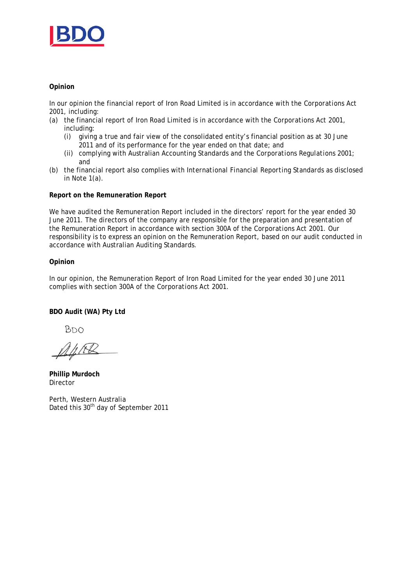

## **Opinion**

In our opinion the financial report of Iron Road Limited is in accordance with the *Corporations Act 2001*, including:

- (a) the financial report of Iron Road Limited is in accordance with the *Corporations Act 2001*, including:
	- (i) giving a true and fair view of the consolidated entity's financial position as at 30 June 2011 and of its performance for the year ended on that date; and
	- (ii) complying with Australian Accounting Standards and the *Corporations Regulations 2001*; and
- (b) the financial report also complies with *International Financial Reporting Standards* as disclosed in Note 1(a).

## **Report on the Remuneration Report**

We have audited the Remuneration Report included in the directors' report for the year ended 30 June 2011. The directors of the company are responsible for the preparation and presentation of the Remuneration Report in accordance with section 300A of the *Corporations Act 2001*. Our responsibility is to express an opinion on the Remuneration Report, based on our audit conducted in accordance with Australian Auditing Standards.

## **Opinion**

In our opinion, the Remuneration Report of Iron Road Limited for the year ended 30 June 2011 complies with section 300A of the *Corporations Act 2001*.

## **BDO Audit (WA) Pty Ltd**

BDO

1/1/12

**Phillip Murdoch** Director

Perth, Western Australia Dated this 30<sup>th</sup> day of September 2011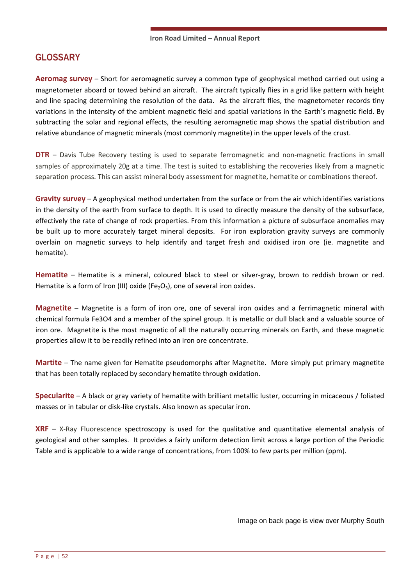## **GLOSSARY**

**Aeromag survey** – Short for aeromagnetic survey a common type of geophysical method carried out using a magnetometer aboard or towed behind an aircraft. The aircraft typically flies in a grid like pattern with height and line spacing determining the resolution of the data. As the aircraft flies, the magnetometer records tiny variations in the intensity of the ambient magnetic field and spatial variations in the Earth's magnetic field. By subtracting the solar and regional effects, the resulting aeromagnetic map shows the spatial distribution and relative abundance of magnetic minerals (most commonly magnetite) in the upper levels of the crust.

**DTR** – Davis Tube Recovery testing is used to separate ferromagnetic and non-magnetic fractions in small samples of approximately 20g at a time. The test is suited to establishing the recoveries likely from a magnetic separation process. This can assist mineral body assessment for magnetite, hematite or combinations thereof.

**Gravity survey** – A geophysical method undertaken from the surface or from the air which identifies variations in the density of the earth from surface to depth. It is used to directly measure the density of the subsurface, effectively the rate of change of rock properties. From this information a picture of subsurface anomalies may be built up to more accurately target mineral deposits. For iron exploration gravity surveys are commonly overlain on magnetic surveys to help identify and target fresh and oxidised iron ore (ie. magnetite and hematite).

**Hematite** – Hematite is a mineral, coloured black to steel or silver-gray, brown to reddish brown or red. Hematite is a form of Iron (III) oxide (Fe<sub>2</sub>O<sub>3</sub>), one of several iron oxides.

**Magnetite** – Magnetite is a form of iron ore, one of several iron oxides and a ferrimagnetic mineral with chemical formula Fe3O4 and a member of the spinel group. It is metallic or dull black and a valuable source of iron ore. Magnetite is the most magnetic of all the naturally occurring minerals on Earth, and these magnetic properties allow it to be readily refined into an iron ore concentrate.

**Martite** – The name given for Hematite pseudomorphs after Magnetite. More simply put primary magnetite that has been totally replaced by secondary hematite through oxidation.

**Specularite** – A black or gray variety of hematite with brilliant metallic luster, occurring in micaceous / foliated masses or in tabular or disk‐like crystals. Also known as specular iron.

**XRF** – X-Ray Fluorescence spectroscopy is used for the qualitative and quantitative elemental analysis of geological and other samples. It provides a fairly uniform detection limit across a large portion of the Periodic Table and is applicable to a wide range of concentrations, from 100% to few parts per million (ppm).